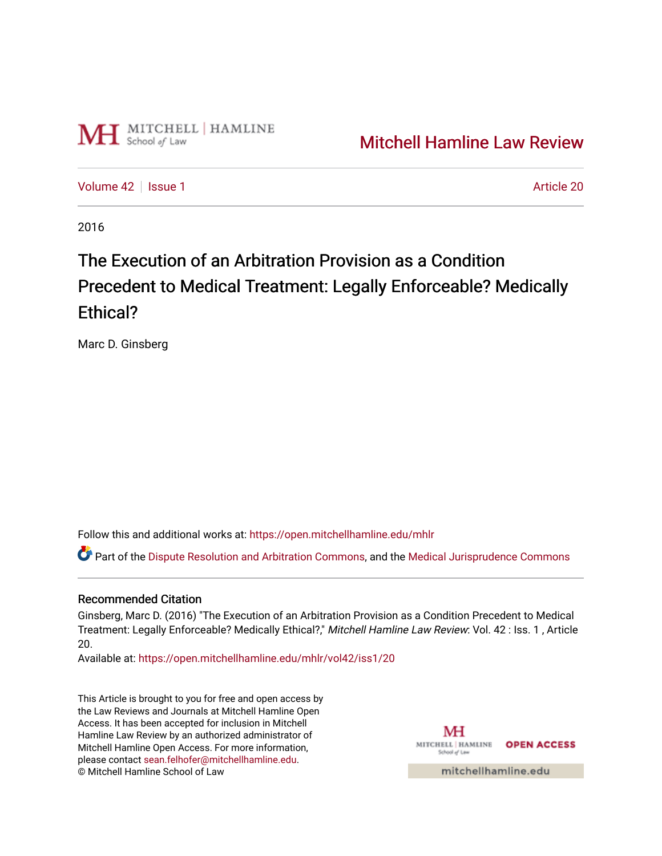

[Volume 42](https://open.mitchellhamline.edu/mhlr/vol42) | [Issue 1](https://open.mitchellhamline.edu/mhlr/vol42/iss1) Article 20

2016

# The Execution of an Arbitration Provision as a Condition Precedent to Medical Treatment: Legally Enforceable? Medically Ethical?

Marc D. Ginsberg

Follow this and additional works at: [https://open.mitchellhamline.edu/mhlr](https://open.mitchellhamline.edu/mhlr?utm_source=open.mitchellhamline.edu%2Fmhlr%2Fvol42%2Fiss1%2F20&utm_medium=PDF&utm_campaign=PDFCoverPages) 

Part of the [Dispute Resolution and Arbitration Commons,](http://network.bepress.com/hgg/discipline/890?utm_source=open.mitchellhamline.edu%2Fmhlr%2Fvol42%2Fiss1%2F20&utm_medium=PDF&utm_campaign=PDFCoverPages) and the [Medical Jurisprudence Commons](http://network.bepress.com/hgg/discipline/860?utm_source=open.mitchellhamline.edu%2Fmhlr%2Fvol42%2Fiss1%2F20&utm_medium=PDF&utm_campaign=PDFCoverPages)

# Recommended Citation

Ginsberg, Marc D. (2016) "The Execution of an Arbitration Provision as a Condition Precedent to Medical Treatment: Legally Enforceable? Medically Ethical?," Mitchell Hamline Law Review: Vol. 42 : Iss. 1 , Article 20.

Available at: [https://open.mitchellhamline.edu/mhlr/vol42/iss1/20](https://open.mitchellhamline.edu/mhlr/vol42/iss1/20?utm_source=open.mitchellhamline.edu%2Fmhlr%2Fvol42%2Fiss1%2F20&utm_medium=PDF&utm_campaign=PDFCoverPages)

This Article is brought to you for free and open access by the Law Reviews and Journals at Mitchell Hamline Open Access. It has been accepted for inclusion in Mitchell Hamline Law Review by an authorized administrator of Mitchell Hamline Open Access. For more information, please contact [sean.felhofer@mitchellhamline.edu.](mailto:sean.felhofer@mitchellhamline.edu) © Mitchell Hamline School of Law

MH MITCHELL HAMLINE OPEN ACCESS School of Lav

mitchellhamline.edu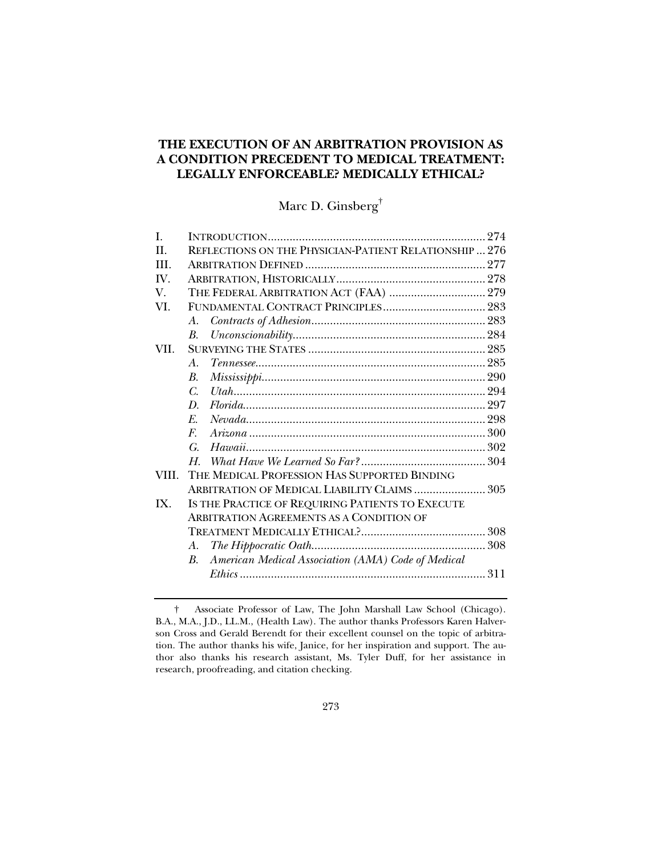# **THE EXECUTION OF AN ARBITRATION PROVISION AS A CONDITION PRECEDENT TO MEDICAL TREATMENT: LEGALLY ENFORCEABLE? MEDICALLY ETHICAL?**

Marc D. Ginsberg†

| $\mathbf{I}$ |                                                          |  |
|--------------|----------------------------------------------------------|--|
| II.          | REFLECTIONS ON THE PHYSICIAN-PATIENT RELATIONSHIP  276   |  |
| III.         |                                                          |  |
| IV.          |                                                          |  |
| V.           | THE FEDERAL ARBITRATION ACT (FAA)  279                   |  |
| VI.          | FUNDAMENTAL CONTRACT PRINCIPLES 283                      |  |
|              | A.                                                       |  |
|              | B.                                                       |  |
| VII.         |                                                          |  |
|              | $\mathcal{A}$                                            |  |
|              | <i>B.</i>                                                |  |
|              | $\overline{C}$                                           |  |
|              | D.                                                       |  |
|              | $E_{\cdot}$                                              |  |
|              | $F_{\cdot}$                                              |  |
|              | G.                                                       |  |
|              | $H_{-}$                                                  |  |
| VIII.        | THE MEDICAL PROFESSION HAS SUPPORTED BINDING             |  |
|              | ARBITRATION OF MEDICAL LIABILITY CLAIMS  305             |  |
| IX.          | IS THE PRACTICE OF REQUIRING PATIENTS TO EXECUTE         |  |
|              | ARBITRATION AGREEMENTS AS A CONDITION OF                 |  |
|              |                                                          |  |
|              | A.                                                       |  |
|              | American Medical Association (AMA) Code of Medical<br>B. |  |
|              |                                                          |  |
|              |                                                          |  |

 <sup>†</sup> Associate Professor of Law, The John Marshall Law School (Chicago). B.A., M.A., J.D., LL.M., (Health Law). The author thanks Professors Karen Halverson Cross and Gerald Berendt for their excellent counsel on the topic of arbitration. The author thanks his wife, Janice, for her inspiration and support. The author also thanks his research assistant, Ms. Tyler Duff, for her assistance in research, proofreading, and citation checking.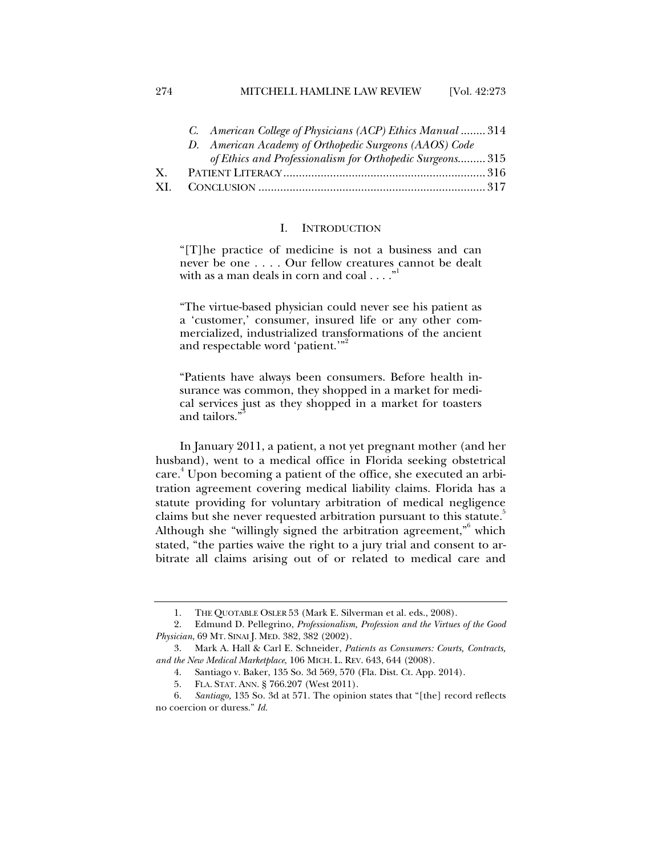|         | C. American College of Physicians (ACP) Ethics Manual  314 |
|---------|------------------------------------------------------------|
|         | D. American Academy of Orthopedic Surgeons (AAOS) Code     |
|         | of Ethics and Professionalism for Orthopedic Surgeons 315  |
| $X_{-}$ |                                                            |
| XI      |                                                            |

#### I. INTRODUCTION

"[T]he practice of medicine is not a business and can never be one . . . . Our fellow creatures cannot be dealt with as a man deals in corn and coal  $\dots$ ."

"The virtue-based physician could never see his patient as a 'customer,' consumer, insured life or any other commercialized, industrialized transformations of the ancient and respectable word 'patient."<sup>2</sup>

"Patients have always been consumers. Before health insurance was common, they shopped in a market for medical services just as they shopped in a market for toasters and tailors.'

In January 2011, a patient, a not yet pregnant mother (and her husband), went to a medical office in Florida seeking obstetrical care.<sup>4</sup> Upon becoming a patient of the office, she executed an arbitration agreement covering medical liability claims. Florida has a statute providing for voluntary arbitration of medical negligence claims but she never requested arbitration pursuant to this statute.<sup>5</sup> Although she "willingly signed the arbitration agreement," which stated, "the parties waive the right to a jury trial and consent to arbitrate all claims arising out of or related to medical care and

 <sup>1.</sup> THE QUOTABLE OSLER 53 (Mark E. Silverman et al. eds., 2008).

 <sup>2.</sup> Edmund D. Pellegrino, *Professionalism, Profession and the Virtues of the Good Physician*, 69 MT. SINAI J. MED. 382, 382 (2002).

 <sup>3.</sup> Mark A. Hall & Carl E. Schneider, *Patients as Consumers: Courts, Contracts, and the New Medical Marketplace*, 106 MICH. L. REV. 643, 644 (2008).

 <sup>4.</sup> Santiago v. Baker, 135 So. 3d 569, 570 (Fla. Dist. Ct. App. 2014).

 <sup>5.</sup> FLA. STAT. ANN. § 766.207 (West 2011).

 <sup>6.</sup> *Santiago,* 135 So. 3d at 571. The opinion states that "[the] record reflects no coercion or duress." *Id.*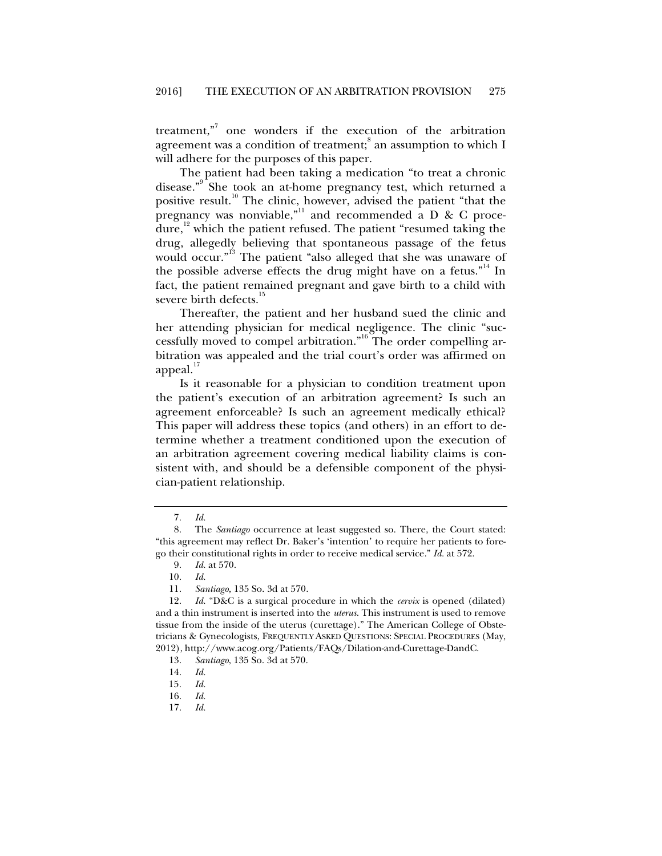treatment,"<sup>7</sup> one wonders if the execution of the arbitration agreement was a condition of treatment; $^{\rm 8}$  an assumption to which I will adhere for the purposes of this paper.

The patient had been taking a medication "to treat a chronic disease."<sup>9</sup> She took an at-home pregnancy test, which returned a positive result.10 The clinic, however, advised the patient "that the pregnancy was nonviable, $\overline{p}^{11}$  and recommended a D & C procedure, $\frac{12}{3}$  which the patient refused. The patient "resumed taking the drug, allegedly believing that spontaneous passage of the fetus would occur.<sup>"13</sup> The patient "also alleged that she was unaware of the possible adverse effects the drug might have on a fetus."<sup>14</sup> In fact, the patient remained pregnant and gave birth to a child with severe birth defects.<sup>15</sup>

Thereafter, the patient and her husband sued the clinic and her attending physician for medical negligence. The clinic "successfully moved to compel arbitration."16 The order compelling arbitration was appealed and the trial court's order was affirmed on appeal. $17$ 

Is it reasonable for a physician to condition treatment upon the patient's execution of an arbitration agreement? Is such an agreement enforceable? Is such an agreement medically ethical? This paper will address these topics (and others) in an effort to determine whether a treatment conditioned upon the execution of an arbitration agreement covering medical liability claims is consistent with, and should be a defensible component of the physician-patient relationship.

<sup>7</sup>*. Id.*

 <sup>8.</sup> The *Santiago* occurrence at least suggested so. There, the Court stated: "this agreement may reflect Dr. Baker's 'intention' to require her patients to forego their constitutional rights in order to receive medical service." *Id.* at 572.

 <sup>9.</sup> *Id.* at 570.

 <sup>10.</sup> *Id.*

 <sup>11.</sup> *Santiago,* 135 So. 3d at 570*.*

 <sup>12.</sup> *Id.* "D&C is a surgical procedure in which the *cervix* is opened (dilated) and a thin instrument is inserted into the *uterus*. This instrument is used to remove tissue from the inside of the uterus (curettage)." The American College of Obstetricians & Gynecologists, FREQUENTLY ASKED QUESTIONS: SPECIAL PROCEDURES (May, 2012), http://www.acog.org/Patients/FAQs/Dilation-and-Curettage-DandC.

 <sup>13.</sup> *Santiago*, 135 So. 3d at 570.

 <sup>14.</sup> *Id.*

<sup>15</sup>*. Id.*

 <sup>16.</sup> *Id.*

 <sup>17.</sup> *Id.*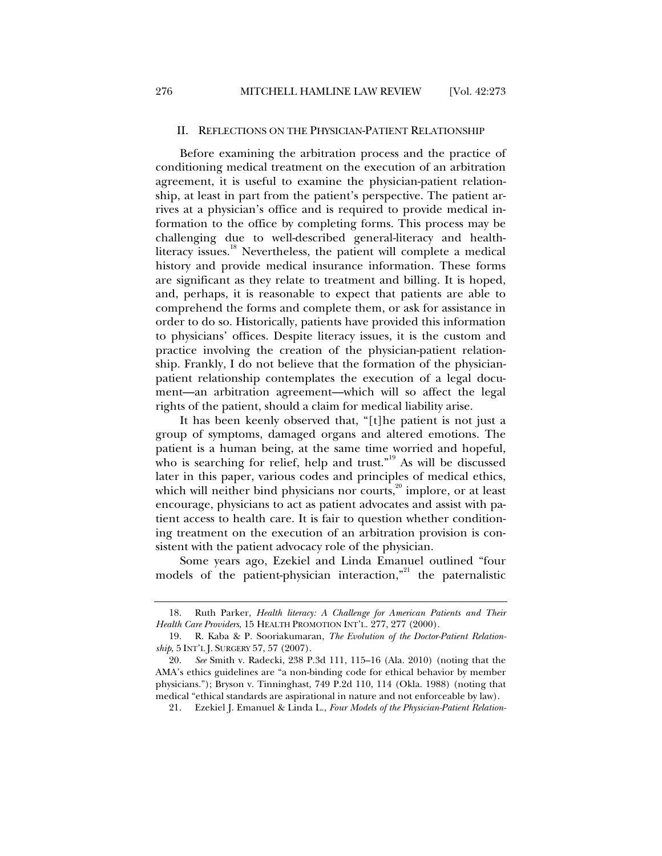# II. REFLECTIONS ON THE PHYSICIAN-PATIENT RELATIONSHIP

Before examining the arbitration process and the practice of conditioning medical treatment on the execution of an arbitration agreement, it is useful to examine the physician-patient relationship, at least in part from the patient's perspective. The patient arrives at a physician's office and is required to provide medical information to the office by completing forms. This process may be challenging due to well-described general-literacy and healthliteracy issues.<sup>18</sup> Nevertheless, the patient will complete a medical history and provide medical insurance information. These forms are significant as they relate to treatment and billing. It is hoped, and, perhaps, it is reasonable to expect that patients are able to comprehend the forms and complete them, or ask for assistance in order to do so. Historically, patients have provided this information to physicians' offices. Despite literacy issues, it is the custom and practice involving the creation of the physician-patient relationship. Frankly, I do not believe that the formation of the physicianpatient relationship contemplates the execution of a legal document—an arbitration agreement—which will so affect the legal rights of the patient, should a claim for medical liability arise.

It has been keenly observed that, "[t]he patient is not just a group of symptoms, damaged organs and altered emotions. The patient is a human being, at the same time worried and hopeful, who is searching for relief, help and trust."<sup>19</sup> As will be discussed later in this paper, various codes and principles of medical ethics, which will neither bind physicians nor courts, $20$  implore, or at least encourage, physicians to act as patient advocates and assist with patient access to health care. It is fair to question whether conditioning treatment on the execution of an arbitration provision is consistent with the patient advocacy role of the physician.

Some years ago, Ezekiel and Linda Emanuel outlined "four models of the patient-physician interaction, $n^2$  the paternalistic

 <sup>18.</sup> Ruth Parker, *Health literacy: A Challenge for American Patients and Their Health Care Providers*, 15 HEALTH PROMOTION INT'L. 277, 277 (2000).

 <sup>19.</sup> R. Kaba & P. Sooriakumaran, *The Evolution of the Doctor-Patient Relationship*, 5 INT'L J. SURGERY 57, 57 (2007).

 <sup>20.</sup> *See* Smith v. Radecki, 238 P.3d 111, 115–16 (Ala. 2010) (noting that the AMA's ethics guidelines are "a non-binding code for ethical behavior by member physicians."); Bryson v. Tinninghast, 749 P.2d 110, 114 (Okla. 1988) (noting that medical "ethical standards are aspirational in nature and not enforceable by law).

 <sup>21.</sup> Ezekiel J. Emanuel & Linda L., *Four Models of the Physician-Patient Relation-*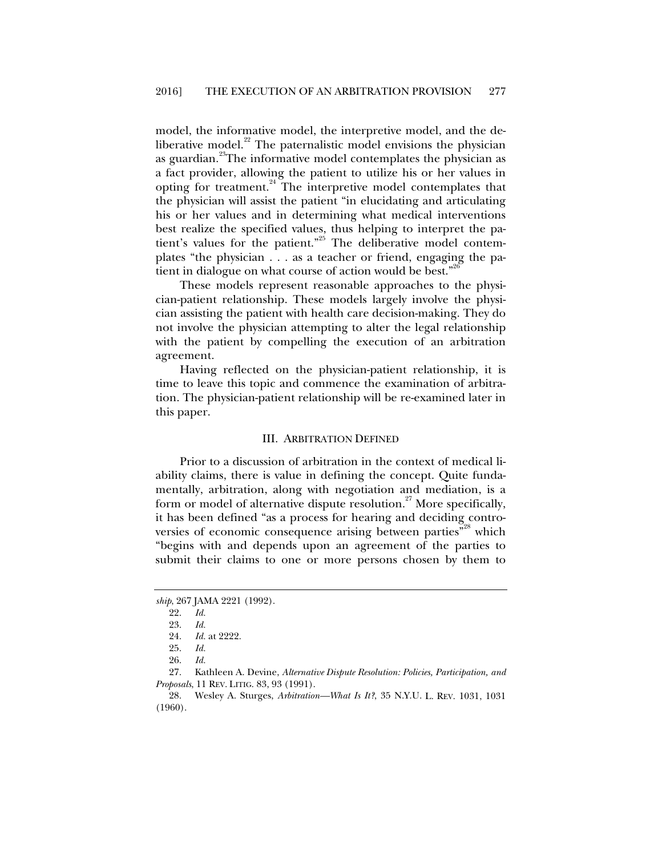model, the informative model, the interpretive model, and the deliberative model. $22$  The paternalistic model envisions the physician as guardian.<sup>23</sup>The informative model contemplates the physician as a fact provider, allowing the patient to utilize his or her values in opting for treatment.<sup>24</sup> The interpretive model contemplates that the physician will assist the patient "in elucidating and articulating his or her values and in determining what medical interventions best realize the specified values, thus helping to interpret the patient's values for the patient."<sup>25</sup> The deliberative model contemplates "the physician . . . as a teacher or friend, engaging the patient in dialogue on what course of action would be best."

These models represent reasonable approaches to the physician-patient relationship. These models largely involve the physician assisting the patient with health care decision-making. They do not involve the physician attempting to alter the legal relationship with the patient by compelling the execution of an arbitration agreement.

Having reflected on the physician-patient relationship, it is time to leave this topic and commence the examination of arbitration. The physician-patient relationship will be re-examined later in this paper.

#### III. ARBITRATION DEFINED

Prior to a discussion of arbitration in the context of medical liability claims, there is value in defining the concept. Quite fundamentally, arbitration, along with negotiation and mediation, is a form or model of alternative dispute resolution.<sup>27</sup> More specifically, it has been defined "as a process for hearing and deciding controversies of economic consequence arising between parties"<sup>28</sup> which "begins with and depends upon an agreement of the parties to submit their claims to one or more persons chosen by them to

 27. Kathleen A. Devine, *Alternative Dispute Resolution: Policies, Participation, and Proposals*, 11 REV. LITIG. 83, 93 (1991).

 28. Wesley A. Sturges, *Arbitration—What Is It?*, 35 N.Y.U. L. REV. 1031, 1031 (1960).

*ship*, 267 JAMA 2221 (1992).

 <sup>22.</sup> *Id.* 

 <sup>23.</sup> *Id.*

 <sup>24.</sup> *Id.* at 2222.

 <sup>25.</sup> *Id.*

 <sup>26.</sup> *Id.*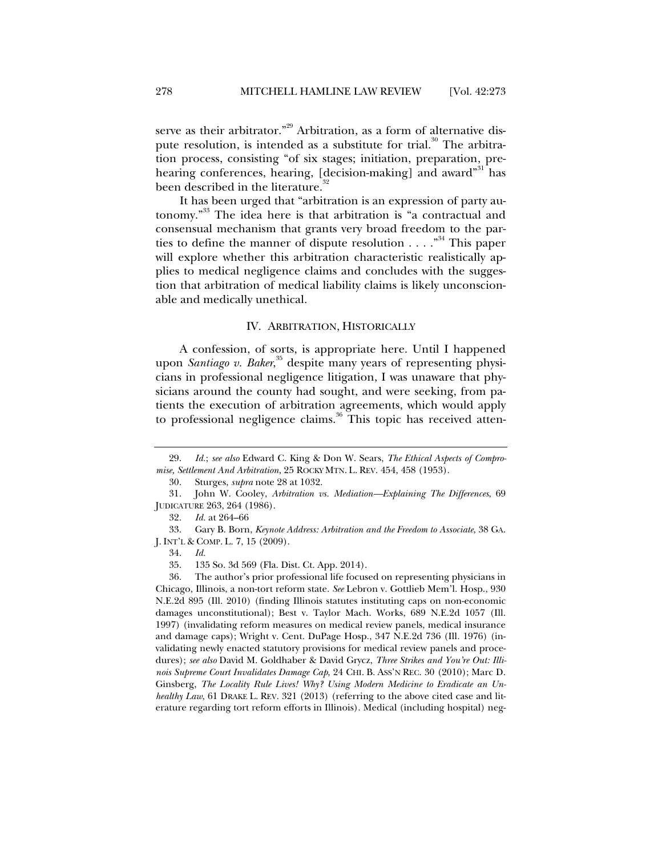serve as their arbitrator."<sup>29</sup> Arbitration, as a form of alternative dispute resolution, is intended as a substitute for trial.<sup>30</sup> The arbitration process, consisting "of six stages; initiation, preparation, prehearing conferences, hearing, [decision-making] and award<sup>31</sup> has been described in the literature.<sup>32</sup>

It has been urged that "arbitration is an expression of party autonomy."33 The idea here is that arbitration is "a contractual and consensual mechanism that grants very broad freedom to the parties to define the manner of dispute resolution  $\ldots$  ..."<sup>34</sup> This paper will explore whether this arbitration characteristic realistically applies to medical negligence claims and concludes with the suggestion that arbitration of medical liability claims is likely unconscionable and medically unethical.

## IV. ARBITRATION, HISTORICALLY

A confession, of sorts, is appropriate here. Until I happened upon *Santiago v. Baker*,<sup>35</sup> despite many years of representing physicians in professional negligence litigation, I was unaware that physicians around the county had sought, and were seeking, from patients the execution of arbitration agreements, which would apply to professional negligence claims.<sup>36</sup> This topic has received atten-

 <sup>29.</sup> *Id.*; *see also* Edward C. King & Don W. Sears, *The Ethical Aspects of Compromise, Settlement And Arbitration*, 25 ROCKY MTN. L. REV. 454, 458 (1953).

 <sup>30.</sup> Sturges, *supra* note 28 at 1032.

 <sup>31.</sup> John W. Cooley, *Arbitration vs. Mediation—Explaining The Differences*, 69 JUDICATURE 263, 264 (1986).

 <sup>32.</sup> *Id.* at 264–66

 <sup>33.</sup> Gary B. Born, *Keynote Address: Arbitration and the Freedom to Associate*, 38 GA. J. INT'L & COMP. L. 7, 15 (2009).

 <sup>34.</sup> *Id.*

 <sup>35. 135</sup> So. 3d 569 (Fla. Dist. Ct. App. 2014).

 <sup>36.</sup> The author's prior professional life focused on representing physicians in Chicago, Illinois, a non-tort reform state. *See* Lebron v. Gottlieb Mem'l. Hosp., 930 N.E.2d 895 (Ill. 2010) (finding Illinois statutes instituting caps on non-economic damages unconstitutional); Best v. Taylor Mach. Works, 689 N.E.2d 1057 (Ill. 1997) (invalidating reform measures on medical review panels, medical insurance and damage caps); Wright v. Cent. DuPage Hosp., 347 N.E.2d 736 (Ill. 1976) (invalidating newly enacted statutory provisions for medical review panels and procedures); *see also* David M. Goldhaber & David Grycz, *Three Strikes and You're Out: Illinois Supreme Court Invalidates Damage Cap*, 24 CHI. B. ASS'N REC. 30 (2010); Marc D. Ginsberg, *The Locality Rule Lives! Why? Using Modern Medicine to Eradicate an Unhealthy Law*, 61 DRAKE L. REV. 321 (2013) (referring to the above cited case and literature regarding tort reform efforts in Illinois). Medical (including hospital) neg-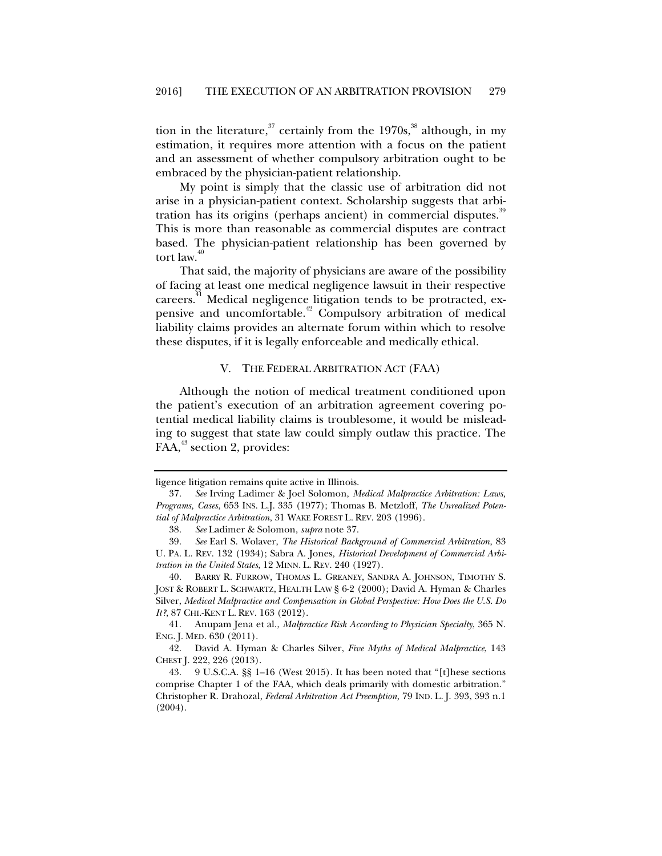tion in the literature, $37$  certainly from the 1970s, $38$  although, in my estimation, it requires more attention with a focus on the patient and an assessment of whether compulsory arbitration ought to be embraced by the physician-patient relationship.

My point is simply that the classic use of arbitration did not arise in a physician-patient context. Scholarship suggests that arbitration has its origins (perhaps ancient) in commercial disputes.<sup>39</sup> This is more than reasonable as commercial disputes are contract based. The physician-patient relationship has been governed by tort law. $40$ 

That said, the majority of physicians are aware of the possibility of facing at least one medical negligence lawsuit in their respective careers.<sup>41</sup> Medical negligence litigation tends to be protracted, expensive and uncomfortable.<sup>42</sup> Compulsory arbitration of medical liability claims provides an alternate forum within which to resolve these disputes, if it is legally enforceable and medically ethical.

# V. THE FEDERAL ARBITRATION ACT (FAA)

Although the notion of medical treatment conditioned upon the patient's execution of an arbitration agreement covering potential medical liability claims is troublesome, it would be misleading to suggest that state law could simply outlaw this practice. The FAA,<sup>43</sup> section 2, provides:

ligence litigation remains quite active in Illinois.

 <sup>37.</sup> *See* Irving Ladimer & Joel Solomon, *Medical Malpractice Arbitration: Laws, Programs, Cases*, 653 INS. L.J. 335 (1977); Thomas B. Metzloff, *The Unrealized Potential of Malpractice Arbitration*, 31 WAKE FOREST L. REV. 203 (1996).

 <sup>38.</sup> *See* Ladimer & Solomon, *supra* note 37.

 <sup>39.</sup> *See* Earl S. Wolaver, *The Historical Background of Commercial Arbitration*, 83 U. PA. L. REV. 132 (1934); Sabra A. Jones*, Historical Development of Commercial Arbitration in the United States*, 12 MINN. L. REV. 240 (1927).

 <sup>40.</sup> BARRY R. FURROW, THOMAS L. GREANEY, SANDRA A. JOHNSON, TIMOTHY S. JOST & ROBERT L. SCHWARTZ, HEALTH LAW § 6-2 (2000); David A. Hyman & Charles Silver, *Medical Malpractice and Compensation in Global Perspective: How Does the U.S. Do It?*, 87 CHI.-KENT L. REV. 163 (2012).

 <sup>41.</sup> Anupam Jena et al., *Malpractice Risk According to Physician Specialty*, 365 N. ENG. J. MED. 630 (2011).

 <sup>42.</sup> David A. Hyman & Charles Silver, *Five Myths of Medical Malpractice*, 143 CHEST J. 222, 226 (2013).

 <sup>43. 9</sup> U.S.C.A. §§ 1–16 (West 2015). It has been noted that "[t]hese sections comprise Chapter 1 of the FAA, which deals primarily with domestic arbitration." Christopher R. Drahozal, *Federal Arbitration Act Preemption*, 79 IND. L. J. 393, 393 n.1 (2004).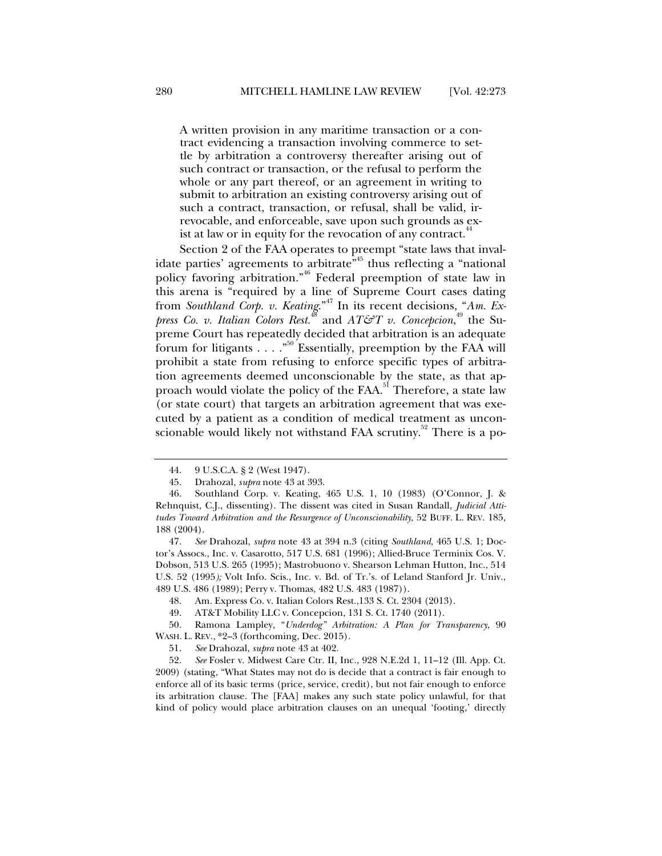A written provision in any maritime transaction or a contract evidencing a transaction involving commerce to settle by arbitration a controversy thereafter arising out of such contract or transaction, or the refusal to perform the whole or any part thereof, or an agreement in writing to submit to arbitration an existing controversy arising out of such a contract, transaction, or refusal, shall be valid, irrevocable, and enforceable, save upon such grounds as exist at law or in equity for the revocation of any contract.<sup>4</sup>

Section 2 of the FAA operates to preempt "state laws that invalidate parties' agreements to arbitrate<sup> $n<sub>45</sub>$  thus reflecting a "national</sup> policy favoring arbitration."46 Federal preemption of state law in this arena is "required by a line of Supreme Court cases dating from *Southland Corp. v. Keating.*"<sup>47</sup> In its recent decisions, "Am. Ex*press Co. v. Italian Colors Rest.*48 and *AT&T v. Concepcion*, 49 the Supreme Court has repeatedly decided that arbitration is an adequate forum for litigants . . . . "<sup>50</sup> Essentially, preemption by the FAA will prohibit a state from refusing to enforce specific types of arbitration agreements deemed unconscionable by the state, as that approach would violate the policy of the FAA.<sup>51</sup> Therefore, a state law (or state court) that targets an arbitration agreement that was executed by a patient as a condition of medical treatment as unconscionable would likely not withstand FAA scrutiny.<sup>52</sup> There is a po-

 <sup>44. 9</sup> U.S.C.A. § 2 (West 1947).

 <sup>45.</sup> Drahozal, *supra* note 43 at 393.

 <sup>46.</sup> Southland Corp. v. Keating, 465 U.S. 1, 10 (1983) (O'Connor, J. & Rehnquist, C.J., dissenting). The dissent was cited in Susan Randall, *Judicial Attitudes Toward Arbitration and the Resurgence of Unconscionability*, 52 BUFF. L. REV. 185, 188 (2004).

 <sup>47.</sup> *See* Drahozal, *supra* note 43 at 394 n.3 (citing *Southland*, 465 U.S. 1; Doctor's Assocs., Inc. v. Casarotto, 517 U.S. 681 (1996); Allied-Bruce Terminix Cos. V. Dobson, 513 U.S. 265 (1995); Mastrobuono v. Shearson Lehman Hutton, Inc., 514 U.S. 52 (1995*);* Volt Info. Scis., Inc. v. Bd. of Tr.'s. of Leland Stanford Jr. Univ., 489 U.S. 486 (1989); Perry v. Thomas, 482 U.S. 483 (1987)).

 <sup>48.</sup> Am. Express Co. v. Italian Colors Rest.,133 S. Ct. 2304 (2013).

 <sup>49.</sup> AT&T Mobility LLC v. Concepcion, 131 S. Ct. 1740 (2011).

 <sup>50.</sup> Ramona Lampley, "*Underdog" Arbitration: A Plan for Transparency*, 90 WASH. L. REV., \*2–3 (forthcoming, Dec. 2015).

 <sup>51.</sup> *See* Drahozal, *supra* note 43 at 402.

 <sup>52.</sup> *See* Fosler v. Midwest Care Ctr. II, Inc., 928 N.E.2d 1, 11–12 (Ill. App. Ct. 2009) (stating, "What States may not do is decide that a contract is fair enough to enforce all of its basic terms (price, service, credit), but not fair enough to enforce its arbitration clause. The [FAA] makes any such state policy unlawful, for that kind of policy would place arbitration clauses on an unequal 'footing,' directly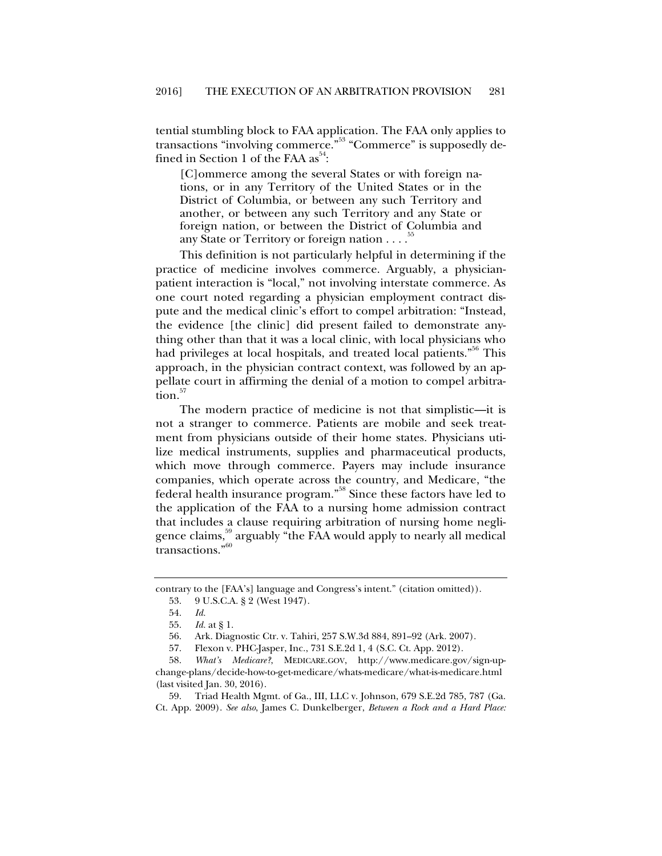tential stumbling block to FAA application. The FAA only applies to transactions "involving commerce."53 "Commerce" is supposedly defined in Section 1 of the FAA as<sup>54</sup>:

[C]ommerce among the several States or with foreign nations, or in any Territory of the United States or in the District of Columbia, or between any such Territory and another, or between any such Territory and any State or foreign nation, or between the District of Columbia and any State or Territory or foreign nation . . . .<sup>5</sup>

This definition is not particularly helpful in determining if the practice of medicine involves commerce. Arguably, a physicianpatient interaction is "local," not involving interstate commerce. As one court noted regarding a physician employment contract dispute and the medical clinic's effort to compel arbitration: "Instead, the evidence [the clinic] did present failed to demonstrate anything other than that it was a local clinic, with local physicians who had privileges at local hospitals, and treated local patients."<sup>56</sup> This approach, in the physician contract context, was followed by an appellate court in affirming the denial of a motion to compel arbitration.<sup>57</sup>

The modern practice of medicine is not that simplistic—it is not a stranger to commerce. Patients are mobile and seek treatment from physicians outside of their home states. Physicians utilize medical instruments, supplies and pharmaceutical products, which move through commerce. Payers may include insurance companies, which operate across the country, and Medicare, "the federal health insurance program."<sup>58</sup> Since these factors have led to the application of the FAA to a nursing home admission contract that includes a clause requiring arbitration of nursing home negligence claims,59 arguably "the FAA would apply to nearly all medical transactions."60

contrary to the [FAA's] language and Congress's intent." (citation omitted)). 53. 9 U.S.C.A. § 2 (West 1947).

 <sup>54.</sup> *Id.*

 <sup>55.</sup> *Id.* at § 1.

 <sup>56.</sup> Ark. Diagnostic Ctr. v. Tahiri, 257 S.W.3d 884, 891–92 (Ark. 2007).

 <sup>57.</sup> Flexon v. PHC-Jasper, Inc., 731 S.E.2d 1, 4 (S.C. Ct. App. 2012).

 <sup>58.</sup> *What's Medicare?*, MEDICARE.GOV, http://www.medicare.gov/sign-upchange-plans/decide-how-to-get-medicare/whats-medicare/what-is-medicare.html (last visited Jan. 30, 2016).

 <sup>59.</sup> Triad Health Mgmt. of Ga., III, LLC v. Johnson, 679 S.E.2d 785, 787 (Ga. Ct. App. 2009). *See also*, James C. Dunkelberger, *Between a Rock and a Hard Place:*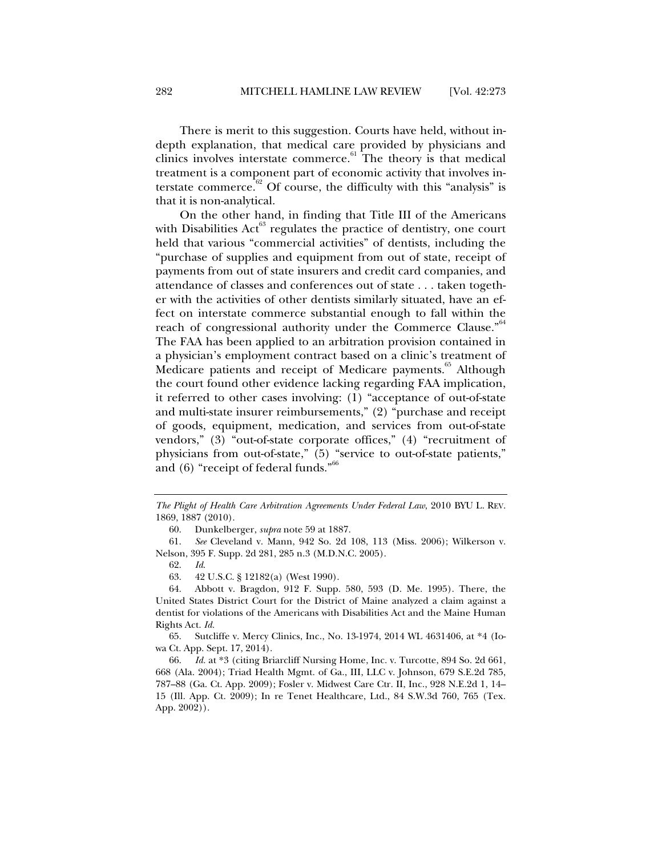There is merit to this suggestion. Courts have held, without indepth explanation, that medical care provided by physicians and clinics involves interstate commerce.<sup>61</sup> The theory is that medical treatment is a component part of economic activity that involves interstate commerce.<sup>62</sup> Of course, the difficulty with this "analysis" is that it is non-analytical.

On the other hand, in finding that Title III of the Americans with Disabilities  $Act^{63}$  regulates the practice of dentistry, one court held that various "commercial activities" of dentists, including the "purchase of supplies and equipment from out of state, receipt of payments from out of state insurers and credit card companies, and attendance of classes and conferences out of state . . . taken together with the activities of other dentists similarly situated, have an effect on interstate commerce substantial enough to fall within the reach of congressional authority under the Commerce Clause."<sup>64</sup> The FAA has been applied to an arbitration provision contained in a physician's employment contract based on a clinic's treatment of Medicare patients and receipt of Medicare payments.<sup>65</sup> Although the court found other evidence lacking regarding FAA implication, it referred to other cases involving: (1) "acceptance of out-of-state and multi-state insurer reimbursements," (2) "purchase and receipt of goods, equipment, medication, and services from out-of-state vendors," (3) "out-of-state corporate offices," (4) "recruitment of physicians from out-of-state," (5) "service to out-of-state patients," and (6) "receipt of federal funds."66

 65. Sutcliffe v. Mercy Clinics, Inc., No. 13-1974, 2014 WL 4631406, at \*4 (Iowa Ct. App. Sept. 17, 2014).

*The Plight of Health Care Arbitration Agreements Under Federal Law*, 2010 BYU L. REV. 1869, 1887 (2010).

 <sup>60.</sup> Dunkelberger, *supra* note 59 at 1887.

 <sup>61.</sup> *See* Cleveland v. Mann, 942 So. 2d 108, 113 (Miss. 2006); Wilkerson v. Nelson, 395 F. Supp. 2d 281, 285 n.3 (M.D.N.C. 2005).

 <sup>62.</sup> *Id*.

 <sup>63. 42</sup> U.S.C. § 12182(a) (West 1990).

 <sup>64.</sup> Abbott v. Bragdon, 912 F. Supp. 580, 593 (D. Me. 1995). There, the United States District Court for the District of Maine analyzed a claim against a dentist for violations of the Americans with Disabilities Act and the Maine Human Rights Act. *Id.*

 <sup>66.</sup> *Id.* at \*3 (citing Briarcliff Nursing Home, Inc. v. Turcotte, 894 So. 2d 661, 668 (Ala. 2004); Triad Health Mgmt. of Ga., III, LLC v. Johnson, 679 S.E.2d 785, 787–88 (Ga. Ct. App. 2009); Fosler v. Midwest Care Ctr. II, Inc., 928 N.E.2d 1, 14– 15 (Ill. App. Ct. 2009); In re Tenet Healthcare, Ltd., 84 S.W.3d 760, 765 (Tex. App. 2002)).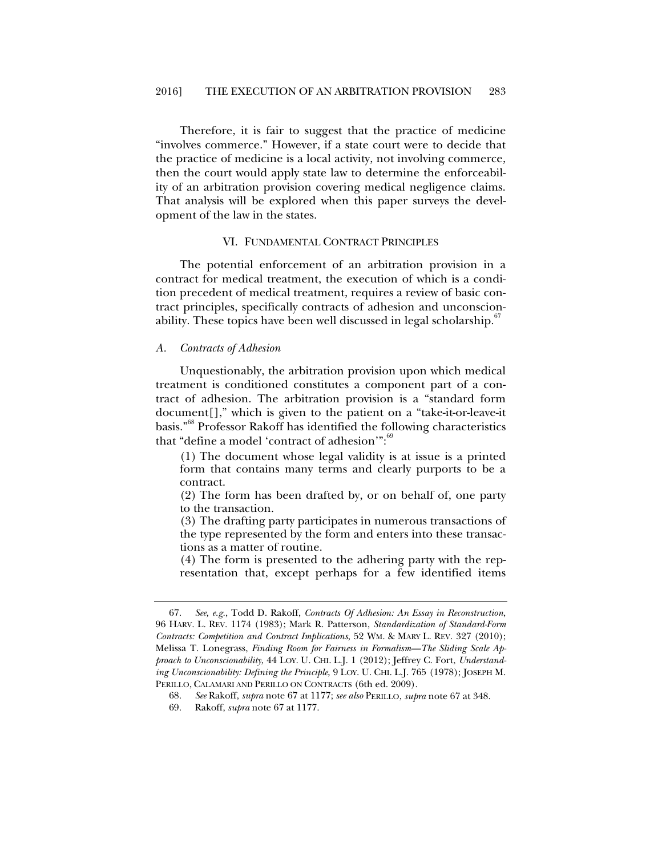Therefore, it is fair to suggest that the practice of medicine "involves commerce." However, if a state court were to decide that the practice of medicine is a local activity, not involving commerce, then the court would apply state law to determine the enforceability of an arbitration provision covering medical negligence claims. That analysis will be explored when this paper surveys the development of the law in the states.

#### VI. FUNDAMENTAL CONTRACT PRINCIPLES

The potential enforcement of an arbitration provision in a contract for medical treatment, the execution of which is a condition precedent of medical treatment, requires a review of basic contract principles, specifically contracts of adhesion and unconscionability. These topics have been well discussed in legal scholarship.<sup>67</sup>

#### *A. Contracts of Adhesion*

Unquestionably, the arbitration provision upon which medical treatment is conditioned constitutes a component part of a contract of adhesion. The arbitration provision is a "standard form document[]," which is given to the patient on a "take-it-or-leave-it basis."68 Professor Rakoff has identified the following characteristics that "define a model 'contract of adhesion'": $69$ 

(1) The document whose legal validity is at issue is a printed form that contains many terms and clearly purports to be a contract.

(2) The form has been drafted by, or on behalf of, one party to the transaction.

(3) The drafting party participates in numerous transactions of the type represented by the form and enters into these transactions as a matter of routine.

(4) The form is presented to the adhering party with the representation that, except perhaps for a few identified items

 <sup>67.</sup> *See, e.g.*, Todd D. Rakoff, *Contracts Of Adhesion: An Essay in Reconstruction*, 96 HARV. L. REV. 1174 (1983); Mark R. Patterson, *Standardization of Standard-Form Contracts: Competition and Contract Implications*, 52 WM. & MARY L. REV. 327 (2010); Melissa T. Lonegrass, *Finding Room for Fairness in Formalism—The Sliding Scale Approach to Unconscionability*, 44 LOY. U. CHI. L.J. 1 (2012); Jeffrey C. Fort, *Understanding Unconscionability: Defining the Principle*, 9 LOY. U. CHI. L.J. 765 (1978); JOSEPH M. PERILLO, CALAMARI AND PERILLO ON CONTRACTS (6th ed. 2009).

 <sup>68.</sup> *See* Rakoff, *supra* note 67 at 1177; *see also* PERILLO, *supra* note 67 at 348.

 <sup>69.</sup> Rakoff, *supra* note 67 at 1177.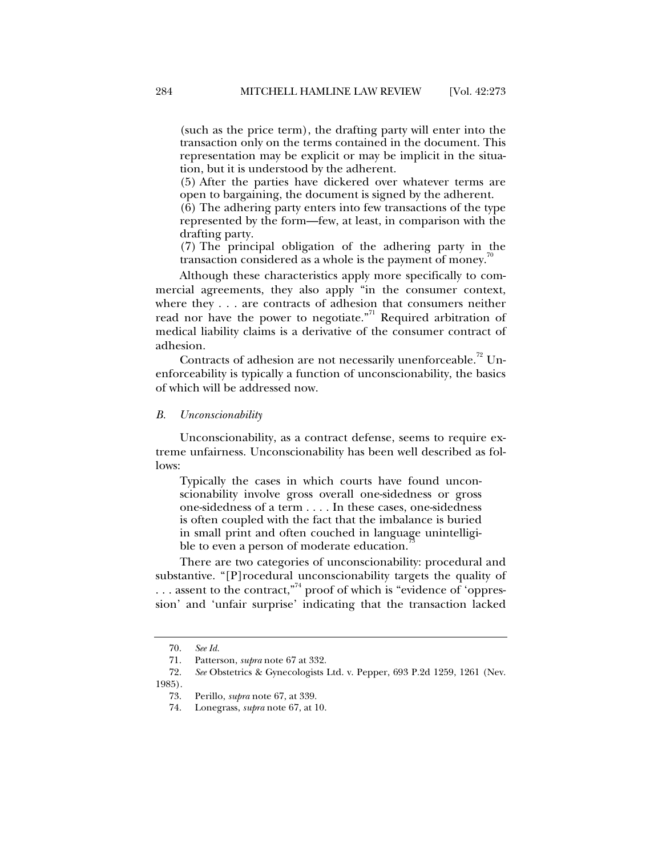(such as the price term), the drafting party will enter into the transaction only on the terms contained in the document. This representation may be explicit or may be implicit in the situation, but it is understood by the adherent.

(5) After the parties have dickered over whatever terms are open to bargaining, the document is signed by the adherent.

(6) The adhering party enters into few transactions of the type represented by the form—few, at least, in comparison with the drafting party.

(7) The principal obligation of the adhering party in the transaction considered as a whole is the payment of money.<sup>7</sup>

Although these characteristics apply more specifically to commercial agreements, they also apply "in the consumer context, where they . . . are contracts of adhesion that consumers neither read nor have the power to negotiate."<sup>71</sup> Required arbitration of medical liability claims is a derivative of the consumer contract of adhesion.

Contracts of adhesion are not necessarily unenforceable.<sup>72</sup> Unenforceability is typically a function of unconscionability, the basics of which will be addressed now.

### *B. Unconscionability*

Unconscionability, as a contract defense, seems to require extreme unfairness. Unconscionability has been well described as follows:

Typically the cases in which courts have found unconscionability involve gross overall one-sidedness or gross one-sidedness of a term . . . . In these cases, one-sidedness is often coupled with the fact that the imbalance is buried in small print and often couched in language unintelligible to even a person of moderate education.

There are two categories of unconscionability: procedural and substantive. "[P]rocedural unconscionability targets the quality of  $\dots$  assent to the contract,"<sup>74</sup> proof of which is "evidence of 'oppression' and 'unfair surprise' indicating that the transaction lacked

 <sup>70.</sup> *See Id.*

 <sup>71.</sup> Patterson, *supra* note 67 at 332.

 <sup>72.</sup> *See* Obstetrics & Gynecologists Ltd. v. Pepper, 693 P.2d 1259, 1261 (Nev. 1985).

 <sup>73.</sup> Perillo, *supra* note 67, at 339.

 <sup>74.</sup> Lonegrass, *supra* note 67, at 10.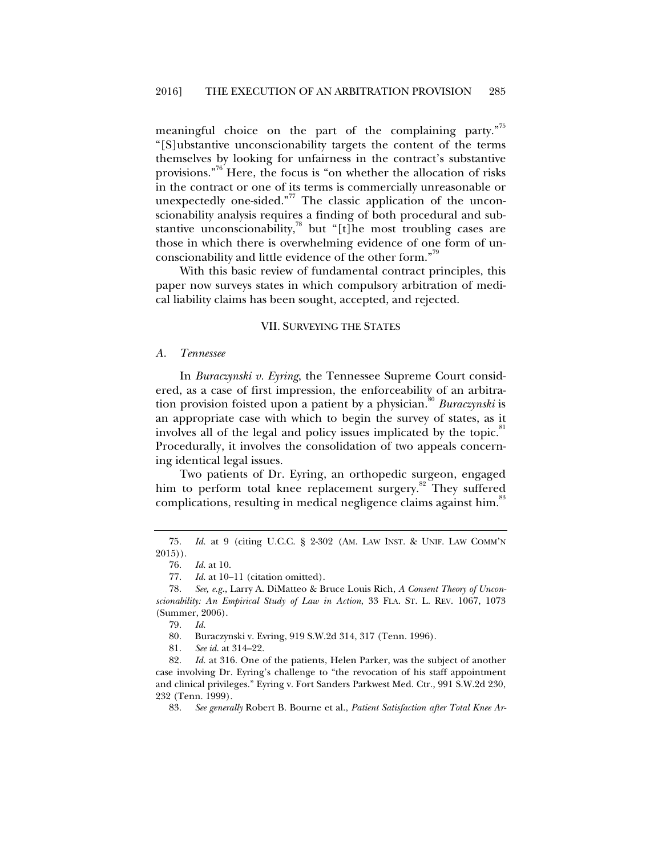meaningful choice on the part of the complaining party."<sup>75</sup> "[S]ubstantive unconscionability targets the content of the terms themselves by looking for unfairness in the contract's substantive provisions."76 Here, the focus is "on whether the allocation of risks in the contract or one of its terms is commercially unreasonable or unexpectedly one-sided."<sup>77</sup> The classic application of the unconscionability analysis requires a finding of both procedural and substantive unconscionability, $^{78}$  but "[t]he most troubling cases are those in which there is overwhelming evidence of one form of unconscionability and little evidence of the other form."<sup>9</sup>

With this basic review of fundamental contract principles, this paper now surveys states in which compulsory arbitration of medical liability claims has been sought, accepted, and rejected.

#### VII. SURVEYING THE STATES

#### *A. Tennessee*

In *Buraczynski v. Eyring*, the Tennessee Supreme Court considered, as a case of first impression, the enforceability of an arbitration provision foisted upon a patient by a physician.<sup>80</sup> *Buraczynski* is an appropriate case with which to begin the survey of states, as it involves all of the legal and policy issues implicated by the topic.<sup>81</sup> Procedurally, it involves the consolidation of two appeals concerning identical legal issues.

Two patients of Dr. Eyring, an orthopedic surgeon, engaged him to perform total knee replacement surgery. $82$  They suffered complications, resulting in medical negligence claims against him.<sup>33</sup>

 <sup>75.</sup> *Id.* at 9 (citing U.C.C. § 2-302 (AM. LAW INST. & UNIF. LAW COMM'N 2015)).

 <sup>76.</sup> *Id.* at 10.

 <sup>77.</sup> *Id.* at 10–11 (citation omitted).

 <sup>78.</sup> *See, e.g.*, Larry A. DiMatteo & Bruce Louis Rich, *A Consent Theory of Unconscionability: An Empirical Study of Law in Action*, 33 FLA. ST. L. REV. 1067, 1073 (Summer, 2006).

 <sup>79.</sup> *Id.*

 <sup>80.</sup> Buraczynski v. Evring, 919 S.W.2d 314, 317 (Tenn. 1996).

 <sup>81.</sup> *See id.* at 314–22.

Id. at 316. One of the patients, Helen Parker, was the subject of another case involving Dr. Eyring's challenge to "the revocation of his staff appointment and clinical privileges." Eyring v. Fort Sanders Parkwest Med. Ctr., 991 S.W.2d 230, 232 (Tenn. 1999).

 <sup>83.</sup> *See generally* Robert B. Bourne et al., *Patient Satisfaction after Total Knee Ar-*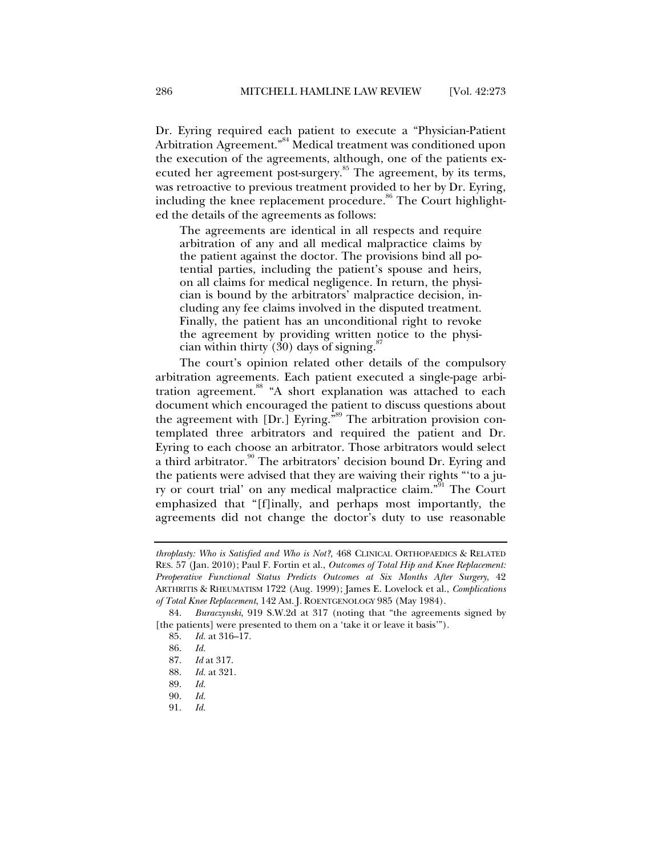Dr. Eyring required each patient to execute a "Physician-Patient Arbitration Agreement."84 Medical treatment was conditioned upon the execution of the agreements, although, one of the patients executed her agreement post-surgery.<sup>85</sup> The agreement, by its terms, was retroactive to previous treatment provided to her by Dr. Eyring, including the knee replacement procedure.<sup>86</sup> The Court highlighted the details of the agreements as follows:

The agreements are identical in all respects and require arbitration of any and all medical malpractice claims by the patient against the doctor. The provisions bind all potential parties, including the patient's spouse and heirs, on all claims for medical negligence. In return, the physician is bound by the arbitrators' malpractice decision, including any fee claims involved in the disputed treatment. Finally, the patient has an unconditional right to revoke the agreement by providing written notice to the physician within thirty  $(30)$  days of signing.

The court's opinion related other details of the compulsory arbitration agreements. Each patient executed a single-page arbitration agreement.<sup>88</sup> "A short explanation was attached to each document which encouraged the patient to discuss questions about the agreement with  $[Dr.]$  Eyring.<sup>"89</sup> The arbitration provision contemplated three arbitrators and required the patient and Dr. Eyring to each choose an arbitrator. Those arbitrators would select a third arbitrator.<sup>90</sup> The arbitrators' decision bound Dr. Eyring and the patients were advised that they are waiving their rights "'to a jury or court trial' on any medical malpractice claim."<sup>91</sup> The Court emphasized that "[f]inally, and perhaps most importantly, the agreements did not change the doctor's duty to use reasonable

*throplasty: Who is Satisfied and Who is Not?*, 468 CLINICAL ORTHOPAEDICS & RELATED RES. 57 (Jan. 2010); Paul F. Fortin et al., *Outcomes of Total Hip and Knee Replacement: Preoperative Functional Status Predicts Outcomes at Six Months After Surgery*, 42 ARTHRITIS & RHEUMATISM 1722 (Aug. 1999); James E. Lovelock et al., *Complications of Total Knee Replacement*, 142 AM. J. ROENTGENOLOGY 985 (May 1984).

 <sup>84.</sup> *Buraczynski*, 919 S.W.2d at 317 (noting that "the agreements signed by [the patients] were presented to them on a 'take it or leave it basis'").

 <sup>85.</sup> *Id.* at 316–17.

 <sup>86.</sup> *Id.* 

 <sup>87.</sup> *Id* at 317.

 <sup>88.</sup> *Id.* at 321.

 <sup>89.</sup> *Id.*

 <sup>90.</sup> *Id.*

 <sup>91.</sup> *Id.*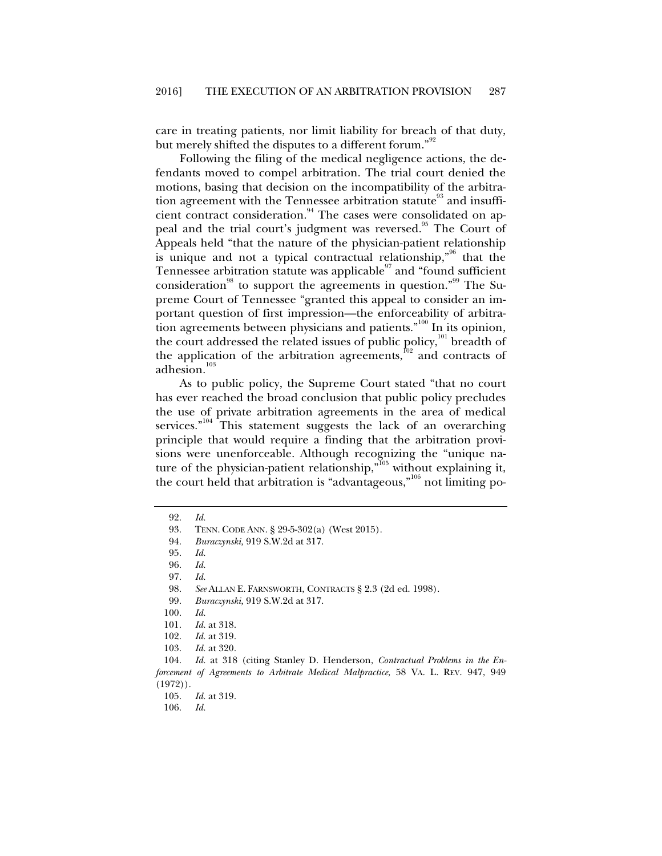care in treating patients, nor limit liability for breach of that duty, but merely shifted the disputes to a different forum."<sup>92</sup>

Following the filing of the medical negligence actions, the defendants moved to compel arbitration. The trial court denied the motions, basing that decision on the incompatibility of the arbitration agreement with the Tennessee arbitration statute<sup>33</sup> and insufficient contract consideration. $94$  The cases were consolidated on appeal and the trial court's judgment was reversed.<sup>95</sup> The Court of Appeals held "that the nature of the physician-patient relationship is unique and not a typical contractual relationship,<sup>96</sup> that the Tennessee arbitration statute was applicable<sup>97</sup> and "found sufficient" consideration<sup>98</sup> to support the agreements in question."<sup>99</sup> The Supreme Court of Tennessee "granted this appeal to consider an important question of first impression—the enforceability of arbitration agreements between physicians and patients."<sup>100</sup> In its opinion, the court addressed the related issues of public policy,<sup>101</sup> breadth of the application of the arbitration agreements, $\frac{102}{102}$  and contracts of adhesion.<sup>103</sup>

As to public policy, the Supreme Court stated "that no court has ever reached the broad conclusion that public policy precludes the use of private arbitration agreements in the area of medical services."<sup>104</sup> This statement suggests the lack of an overarching principle that would require a finding that the arbitration provisions were unenforceable. Although recognizing the "unique nature of the physician-patient relationship,<sup>"105</sup> without explaining it, the court held that arbitration is "advantageous,"<sup>106</sup> not limiting po-

 <sup>92.</sup> *Id.*

 <sup>93.</sup> TENN. CODE ANN. § 29-5-302(a) (West 2015).

 <sup>94.</sup> *Buraczynski,* 919 S.W.2d at 317.

 <sup>95.</sup> *Id.* 

 <sup>96.</sup> *Id.*

 <sup>97.</sup> *Id.*

 <sup>98.</sup> *See* ALLAN E. FARNSWORTH, CONTRACTS § 2.3 (2d ed. 1998).

 <sup>99.</sup> *Buraczynski,* 919 S.W.2d at 317.

 <sup>100.</sup> *Id.*

 <sup>101.</sup> *Id.* at 318.

 <sup>102.</sup> *Id.* at 319.

 <sup>103.</sup> *Id.* at 320.

 <sup>104.</sup> *Id.* at 318 (citing Stanley D. Henderson, *Contractual Problems in the Enforcement of Agreements to Arbitrate Medical Malpractice*, 58 VA. L. REV. 947, 949 (1972)).

 <sup>105.</sup> *Id.* at 319.

 <sup>106.</sup> *Id.*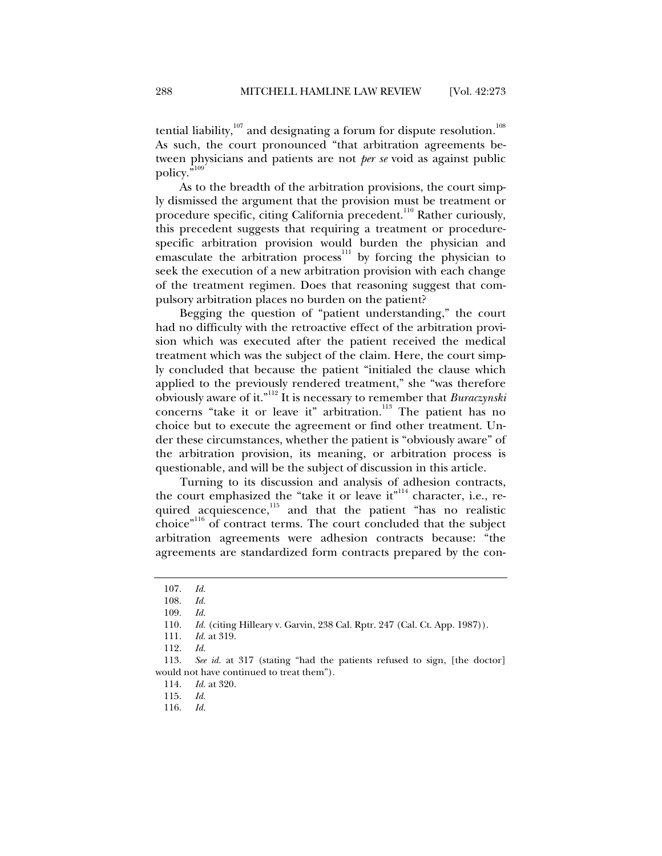tential liability, $107$  and designating a forum for dispute resolution.<sup>108</sup> As such, the court pronounced "that arbitration agreements between physicians and patients are not *per se* void as against public policy."<sup>109</sup>

As to the breadth of the arbitration provisions, the court simply dismissed the argument that the provision must be treatment or procedure specific, citing California precedent.<sup>110</sup> Rather curiously, this precedent suggests that requiring a treatment or procedurespecific arbitration provision would burden the physician and emasculate the arbitration process<sup>111</sup> by forcing the physician to seek the execution of a new arbitration provision with each change of the treatment regimen. Does that reasoning suggest that compulsory arbitration places no burden on the patient?

Begging the question of "patient understanding," the court had no difficulty with the retroactive effect of the arbitration provision which was executed after the patient received the medical treatment which was the subject of the claim. Here, the court simply concluded that because the patient "initialed the clause which applied to the previously rendered treatment," she "was therefore obviously aware of it."112 It is necessary to remember that *Buraczynski*  concerns "take it or leave it" arbitration.<sup>113</sup> The patient has no choice but to execute the agreement or find other treatment. Under these circumstances, whether the patient is "obviously aware" of the arbitration provision, its meaning, or arbitration process is questionable, and will be the subject of discussion in this article.

Turning to its discussion and analysis of adhesion contracts, the court emphasized the "take it or leave it"<sup>114</sup> character, i.e., required acquiescence,<sup>115</sup> and that the patient "has no realistic choice"116 of contract terms. The court concluded that the subject arbitration agreements were adhesion contracts because: "the agreements are standardized form contracts prepared by the con-

 <sup>107.</sup> *Id.*

 <sup>108.</sup> *Id.*

 <sup>109.</sup> *Id.*

 <sup>110.</sup> *Id.* (citing Hilleary v. Garvin, 238 Cal. Rptr. 247 (Cal. Ct. App. 1987)).

 <sup>111.</sup> *Id.* at 319.

 <sup>112.</sup> *Id.*

 <sup>113.</sup> *See id.* at 317 (stating "had the patients refused to sign, [the doctor] would not have continued to treat them").

 <sup>114.</sup> *Id.* at 320.

 <sup>115.</sup> *Id.*

 <sup>116.</sup> *Id.*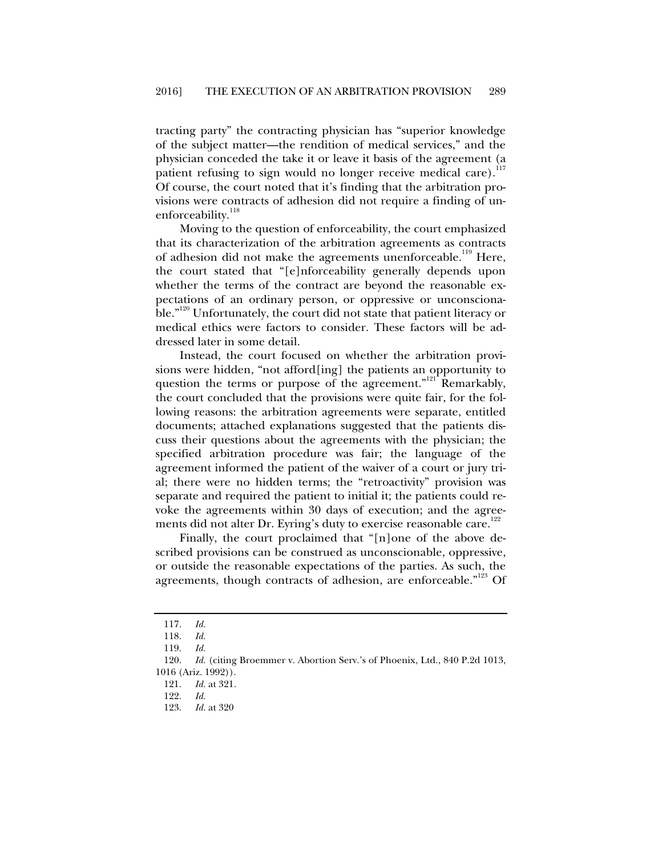tracting party" the contracting physician has "superior knowledge of the subject matter—the rendition of medical services," and the physician conceded the take it or leave it basis of the agreement (a patient refusing to sign would no longer receive medical care).<sup>1</sup> Of course, the court noted that it's finding that the arbitration provisions were contracts of adhesion did not require a finding of unenforceability.<sup>118</sup>

Moving to the question of enforceability, the court emphasized that its characterization of the arbitration agreements as contracts of adhesion did not make the agreements unenforceable.<sup>119</sup> Here, the court stated that "[e]nforceability generally depends upon whether the terms of the contract are beyond the reasonable expectations of an ordinary person, or oppressive or unconscionable."<sup>120</sup> Unfortunately, the court did not state that patient literacy or medical ethics were factors to consider. These factors will be addressed later in some detail.

Instead, the court focused on whether the arbitration provisions were hidden, "not afford[ing] the patients an opportunity to question the terms or purpose of the agreement."<sup>121</sup> Remarkably, the court concluded that the provisions were quite fair, for the following reasons: the arbitration agreements were separate, entitled documents; attached explanations suggested that the patients discuss their questions about the agreements with the physician; the specified arbitration procedure was fair; the language of the agreement informed the patient of the waiver of a court or jury trial; there were no hidden terms; the "retroactivity" provision was separate and required the patient to initial it; the patients could revoke the agreements within 30 days of execution; and the agreements did not alter Dr. Eyring's duty to exercise reasonable care.<sup>122</sup>

Finally, the court proclaimed that "[n]one of the above described provisions can be construed as unconscionable, oppressive, or outside the reasonable expectations of the parties. As such, the agreements, though contracts of adhesion, are enforceable."<sup>123</sup> Of

 <sup>117.</sup> *Id.*

 <sup>118.</sup> *Id.*

 <sup>119.</sup> *Id.*

 <sup>120.</sup> *Id.* (citing Broemmer v. Abortion Serv.'s of Phoenix, Ltd., 840 P.2d 1013, 1016 (Ariz. 1992)).

 <sup>121.</sup> *Id.* at 321.

 <sup>122.</sup> *Id.*

 <sup>123.</sup> *Id.* at 320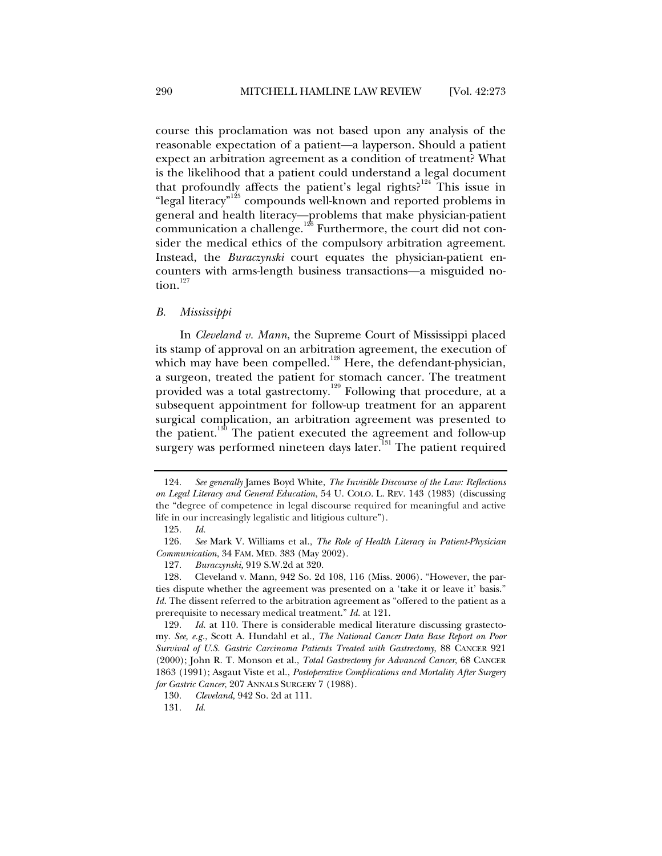course this proclamation was not based upon any analysis of the reasonable expectation of a patient—a layperson. Should a patient expect an arbitration agreement as a condition of treatment? What is the likelihood that a patient could understand a legal document that profoundly affects the patient's legal rights?<sup>124</sup> This issue in "legal literacy"125 compounds well-known and reported problems in general and health literacy—problems that make physician-patient communication a challenge.<sup>126</sup> Furthermore, the court did not consider the medical ethics of the compulsory arbitration agreement. Instead, the *Buraczynski* court equates the physician-patient encounters with arms-length business transactions—a misguided notion.<sup>127</sup>

#### *B. Mississippi*

In *Cleveland v. Mann*, the Supreme Court of Mississippi placed its stamp of approval on an arbitration agreement, the execution of which may have been compelled.<sup>128</sup> Here, the defendant-physician, a surgeon, treated the patient for stomach cancer. The treatment provided was a total gastrectomy.<sup>129</sup> Following that procedure, at a subsequent appointment for follow-up treatment for an apparent surgical complication, an arbitration agreement was presented to the patient.<sup>130</sup> The patient executed the agreement and follow-up surgery was performed nineteen days later.<sup>131</sup> The patient required

 <sup>124.</sup> *See generally* James Boyd White, *The Invisible Discourse of the Law: Reflections on Legal Literacy and General Education*, 54 U. COLO. L. REV. 143 (1983) (discussing the "degree of competence in legal discourse required for meaningful and active life in our increasingly legalistic and litigious culture").

 <sup>125.</sup> *Id.*

 <sup>126.</sup> *See* Mark V. Williams et al., *The Role of Health Literacy in Patient-Physician Communication*, 34 FAM. MED. 383 (May 2002).

 <sup>127.</sup> *Buraczynski,* 919 S.W.2d at 320.

 <sup>128.</sup> Cleveland v. Mann, 942 So. 2d 108, 116 (Miss. 2006). "However, the parties dispute whether the agreement was presented on a 'take it or leave it' basis." *Id.* The dissent referred to the arbitration agreement as "offered to the patient as a prerequisite to necessary medical treatment." *Id.* at 121.

 <sup>129.</sup> *Id.* at 110. There is considerable medical literature discussing grastectomy. *See, e.g.*, Scott A. Hundahl et al., *The National Cancer Data Base Report on Poor Survival of U.S. Gastric Carcinoma Patients Treated with Gastrectomy*, 88 CANCER 921 (2000); John R. T. Monson et al., *Total Gastrectomy for Advanced Cancer*, 68 CANCER 1863 (1991); Asgaut Viste et al., *Postoperative Complications and Mortality After Surgery for Gastric Cancer*, 207 ANNALS SURGERY 7 (1988).

 <sup>130.</sup> *Cleveland,* 942 So. 2d at 111.

 <sup>131.</sup> *Id*.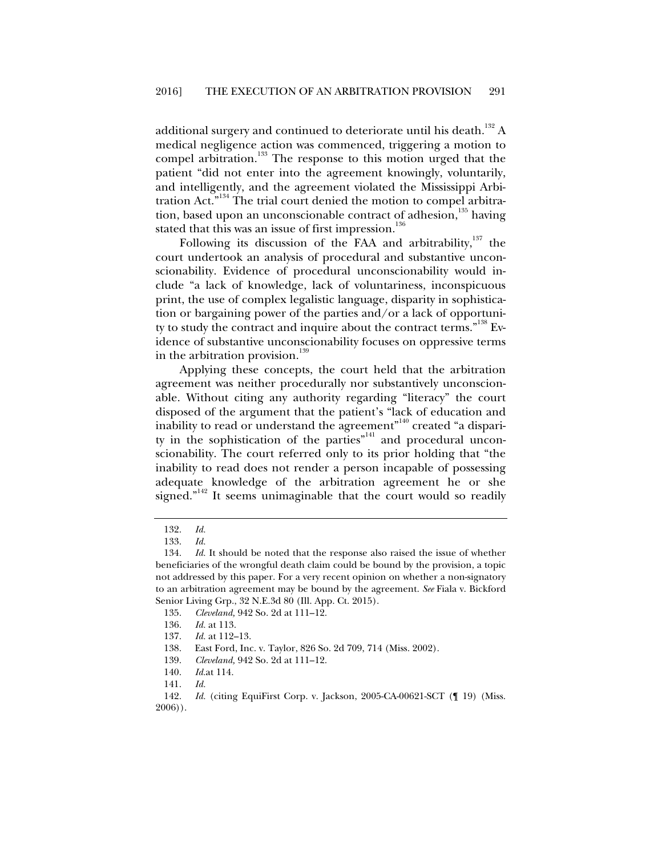additional surgery and continued to deteriorate until his death.<sup>132</sup> A medical negligence action was commenced, triggering a motion to compel arbitration.<sup>133</sup> The response to this motion urged that the patient "did not enter into the agreement knowingly, voluntarily, and intelligently, and the agreement violated the Mississippi Arbitration Act."<sup>134</sup> The trial court denied the motion to compel arbitration, based upon an unconscionable contract of adhesion, $135$  having stated that this was an issue of first impression.<sup>136</sup>

Following its discussion of the FAA and arbitrability, $137$  the court undertook an analysis of procedural and substantive unconscionability. Evidence of procedural unconscionability would include "a lack of knowledge, lack of voluntariness, inconspicuous print, the use of complex legalistic language, disparity in sophistication or bargaining power of the parties and/or a lack of opportunity to study the contract and inquire about the contract terms."<sup>138</sup> Evidence of substantive unconscionability focuses on oppressive terms in the arbitration provision.<sup>139</sup>

Applying these concepts, the court held that the arbitration agreement was neither procedurally nor substantively unconscionable. Without citing any authority regarding "literacy" the court disposed of the argument that the patient's "lack of education and inability to read or understand the agreement"<sup>140</sup> created "a disparity in the sophistication of the parties" $141$  and procedural unconscionability. The court referred only to its prior holding that "the inability to read does not render a person incapable of possessing adequate knowledge of the arbitration agreement he or she signed."<sup>142</sup> It seems unimaginable that the court would so readily

 <sup>132.</sup> *Id.* 

 <sup>133.</sup> *Id.* 

 <sup>134.</sup> *Id.* It should be noted that the response also raised the issue of whether beneficiaries of the wrongful death claim could be bound by the provision, a topic not addressed by this paper. For a very recent opinion on whether a non-signatory to an arbitration agreement may be bound by the agreement. *See* Fiala v. Bickford Senior Living Grp., 32 N.E.3d 80 (Ill. App. Ct. 2015).

 <sup>135.</sup> *Cleveland,* 942 So. 2d at 111–12.

 <sup>136.</sup> *Id.* at 113.

 <sup>137.</sup> *Id.* at 112–13.

 <sup>138.</sup> East Ford, Inc. v. Taylor, 826 So. 2d 709, 714 (Miss. 2002).

 <sup>139.</sup> *Cleveland,* 942 So. 2d at 111–12.

 <sup>140.</sup> *Id.*at 114.

 <sup>141.</sup> *Id.*

 <sup>142.</sup> *Id.* (citing EquiFirst Corp. v. Jackson, 2005-CA-00621-SCT (¶ 19) (Miss. 2006)).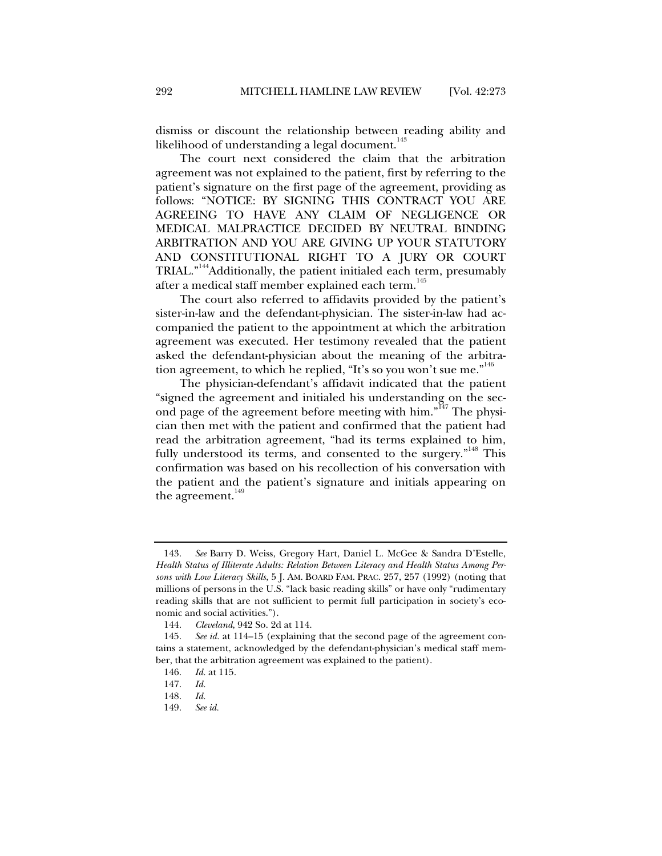dismiss or discount the relationship between reading ability and likelihood of understanding a legal document.<sup>143</sup>

The court next considered the claim that the arbitration agreement was not explained to the patient, first by referring to the patient's signature on the first page of the agreement, providing as follows: "NOTICE: BY SIGNING THIS CONTRACT YOU ARE AGREEING TO HAVE ANY CLAIM OF NEGLIGENCE OR MEDICAL MALPRACTICE DECIDED BY NEUTRAL BINDING ARBITRATION AND YOU ARE GIVING UP YOUR STATUTORY AND CONSTITUTIONAL RIGHT TO A JURY OR COURT TRIAL."<sup>144</sup>Additionally, the patient initialed each term, presumably after a medical staff member explained each term.<sup>145</sup>

The court also referred to affidavits provided by the patient's sister-in-law and the defendant-physician. The sister-in-law had accompanied the patient to the appointment at which the arbitration agreement was executed. Her testimony revealed that the patient asked the defendant-physician about the meaning of the arbitration agreement, to which he replied, "It's so you won't sue me."<sup>146</sup>

The physician-defendant's affidavit indicated that the patient "signed the agreement and initialed his understanding on the second page of the agreement before meeting with him."<sup>147</sup> The physician then met with the patient and confirmed that the patient had read the arbitration agreement, "had its terms explained to him, fully understood its terms, and consented to the surgery."<sup>148</sup> This confirmation was based on his recollection of his conversation with the patient and the patient's signature and initials appearing on the agreement.<sup>149</sup>

 <sup>143.</sup> *See* Barry D. Weiss, Gregory Hart, Daniel L. McGee & Sandra D'Estelle, *Health Status of Illiterate Adults: Relation Between Literacy and Health Status Among Persons with Low Literacy Skills*, 5 J. AM. BOARD FAM. PRAC. 257, 257 (1992) (noting that millions of persons in the U.S. "lack basic reading skills" or have only "rudimentary reading skills that are not sufficient to permit full participation in society's economic and social activities.").

 <sup>144.</sup> *Cleveland*, 942 So. 2d at 114.

 <sup>145.</sup> *See id.* at 114–15 (explaining that the second page of the agreement contains a statement, acknowledged by the defendant-physician's medical staff member, that the arbitration agreement was explained to the patient).

 <sup>146.</sup> *Id.* at 115.

 <sup>147.</sup> *Id.*

 <sup>148.</sup> *Id.*

 <sup>149.</sup> *See id.*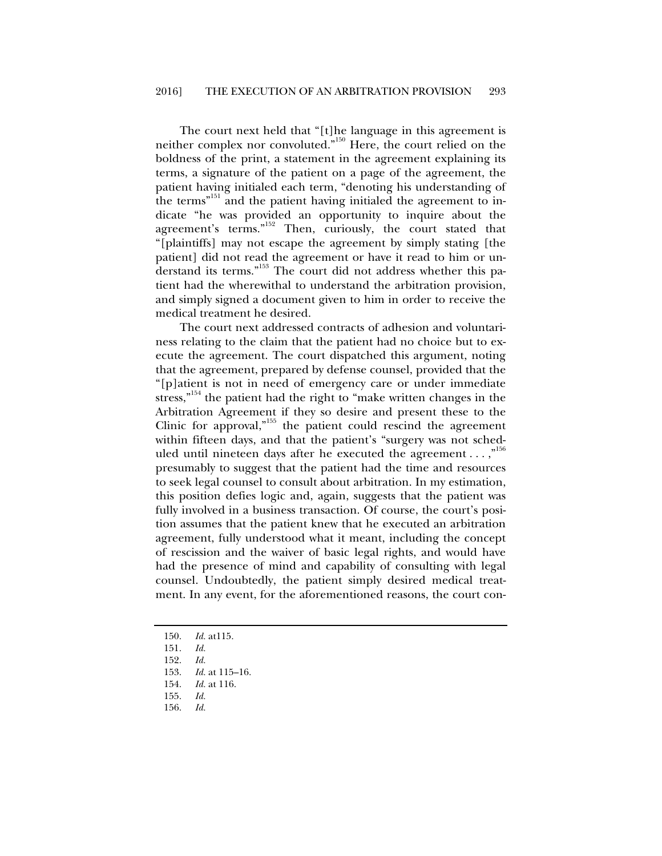The court next held that "[t]he language in this agreement is neither complex nor convoluted."<sup>150</sup> Here, the court relied on the boldness of the print, a statement in the agreement explaining its terms, a signature of the patient on a page of the agreement, the patient having initialed each term, "denoting his understanding of the terms<sup>"151</sup> and the patient having initialed the agreement to indicate "he was provided an opportunity to inquire about the agreement's terms."<sup>152</sup> Then, curiously, the court stated that "[plaintiffs] may not escape the agreement by simply stating [the patient] did not read the agreement or have it read to him or understand its terms."153 The court did not address whether this patient had the wherewithal to understand the arbitration provision, and simply signed a document given to him in order to receive the medical treatment he desired.

The court next addressed contracts of adhesion and voluntariness relating to the claim that the patient had no choice but to execute the agreement. The court dispatched this argument, noting that the agreement, prepared by defense counsel, provided that the "[p]atient is not in need of emergency care or under immediate stress,"<sup>154</sup> the patient had the right to "make written changes in the Arbitration Agreement if they so desire and present these to the Clinic for approval,"<sup>155</sup> the patient could rescind the agreement within fifteen days, and that the patient's "surgery was not scheduled until nineteen days after he executed the agreement  $\dots$ ,"<sup>156</sup> presumably to suggest that the patient had the time and resources to seek legal counsel to consult about arbitration. In my estimation, this position defies logic and, again, suggests that the patient was fully involved in a business transaction. Of course, the court's position assumes that the patient knew that he executed an arbitration agreement, fully understood what it meant, including the concept of rescission and the waiver of basic legal rights, and would have had the presence of mind and capability of consulting with legal counsel. Undoubtedly, the patient simply desired medical treatment. In any event, for the aforementioned reasons, the court con-

- 150. *Id.* at115.
- 151. *Id.*
- 152. *Id.*
- 153. *Id.* at 115–16.
- 154. *Id.* at 116.
- 155. *Id.*
- 156. *Id.*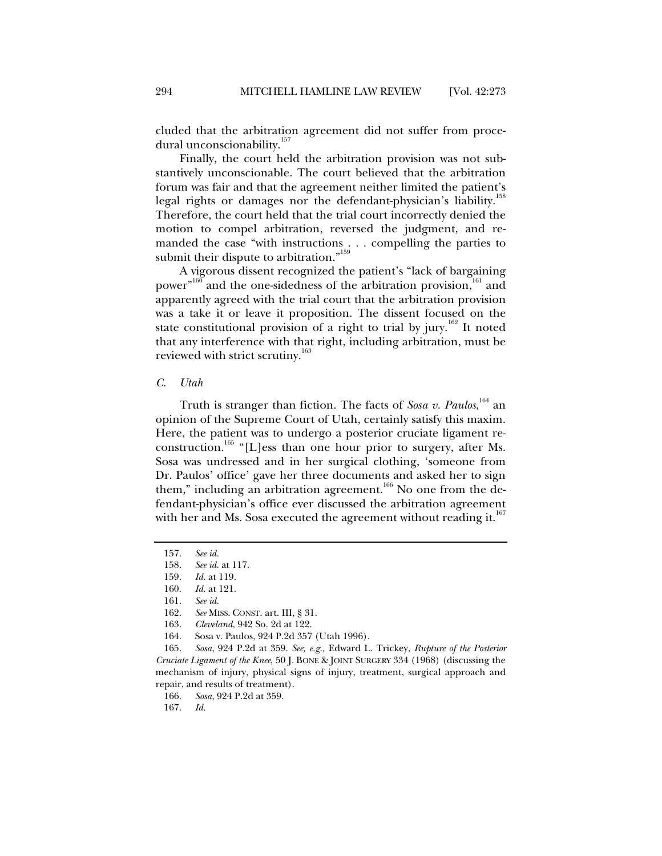cluded that the arbitration agreement did not suffer from procedural unconscionability.<sup>157</sup>

Finally, the court held the arbitration provision was not substantively unconscionable. The court believed that the arbitration forum was fair and that the agreement neither limited the patient's legal rights or damages nor the defendant-physician's liability.<sup>158</sup> Therefore, the court held that the trial court incorrectly denied the motion to compel arbitration, reversed the judgment, and remanded the case "with instructions . . . compelling the parties to submit their dispute to arbitration."<sup>159</sup>

A vigorous dissent recognized the patient's "lack of bargaining power"<sup>160</sup> and the one-sidedness of the arbitration provision, $161$  and apparently agreed with the trial court that the arbitration provision was a take it or leave it proposition. The dissent focused on the state constitutional provision of a right to trial by  $jury.<sup>162</sup>$  It noted that any interference with that right, including arbitration, must be reviewed with strict scrutiny.<sup>163</sup>

#### *C. Utah*

Truth is stranger than fiction. The facts of *Sosa v. Paulos*, <sup>164</sup> an opinion of the Supreme Court of Utah, certainly satisfy this maxim. Here, the patient was to undergo a posterior cruciate ligament reconstruction.<sup>165</sup> "[L]ess than one hour prior to surgery, after Ms. Sosa was undressed and in her surgical clothing, 'someone from Dr. Paulos' office' gave her three documents and asked her to sign them," including an arbitration agreement.<sup>166</sup> No one from the defendant-physician's office ever discussed the arbitration agreement with her and Ms. Sosa executed the agreement without reading it.<sup>167</sup>

 <sup>157.</sup> *See id.*

 <sup>158.</sup> *See id.* at 117.

 <sup>159.</sup> *Id.* at 119.

 <sup>160.</sup> *Id.* at 121.

 <sup>161.</sup> *See id.*

 <sup>162.</sup> *See* MISS. CONST. art. III, § 31.

 <sup>163.</sup> *Cleveland*, 942 So. 2d at 122.

 <sup>164.</sup> Sosa v. Paulos, 924 P.2d 357 (Utah 1996).

 <sup>165.</sup> *Sosa*, 924 P.2d at 359. *See, e.g.,* Edward L. Trickey, *Rupture of the Posterior Cruciate Ligament of the Knee*, 50 J. BONE & JOINT SURGERY 334 (1968) (discussing the mechanism of injury, physical signs of injury, treatment, surgical approach and repair, and results of treatment).

 <sup>166.</sup> *Sosa*, 924 P.2d at 359.

 <sup>167.</sup> *Id.*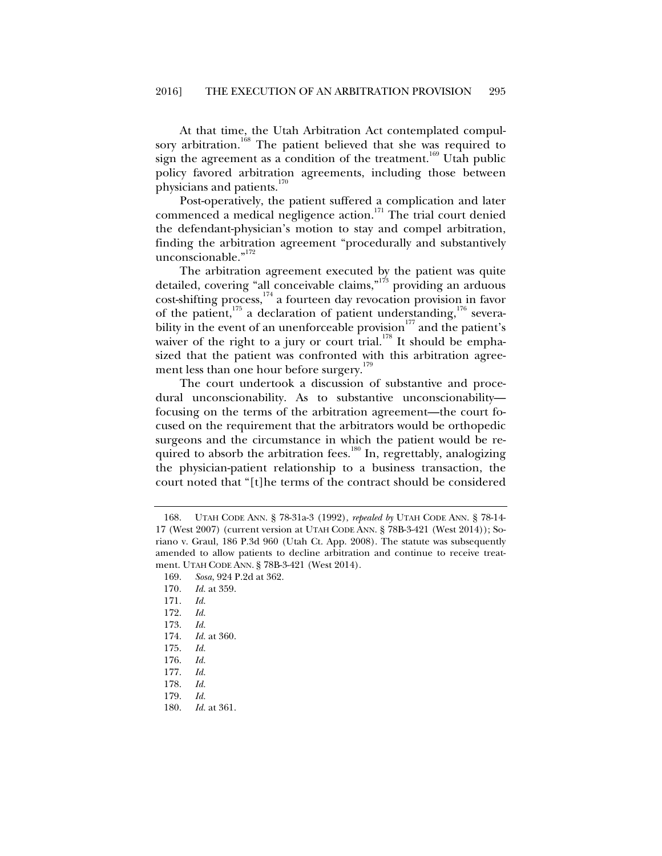At that time, the Utah Arbitration Act contemplated compulsory arbitration.<sup>168</sup> The patient believed that she was required to sign the agreement as a condition of the treatment.<sup>169</sup> Utah public policy favored arbitration agreements, including those between physicians and patients.<sup>170</sup>

Post-operatively, the patient suffered a complication and later commenced a medical negligence action.<sup>171</sup> The trial court denied the defendant-physician's motion to stay and compel arbitration, finding the arbitration agreement "procedurally and substantively unconscionable."<sup>172</sup>

The arbitration agreement executed by the patient was quite detailed, covering "all conceivable claims,"173 providing an arduous cost-shifting process,<sup>174</sup> a fourteen day revocation provision in favor of the patient,  $175$  a declaration of patient understanding,  $176$  severability in the event of an unenforceable provision $177$  and the patient's waiver of the right to a jury or court trial.<sup>178</sup> It should be emphasized that the patient was confronted with this arbitration agreement less than one hour before surgery.<sup>179</sup>

The court undertook a discussion of substantive and procedural unconscionability. As to substantive unconscionability focusing on the terms of the arbitration agreement—the court focused on the requirement that the arbitrators would be orthopedic surgeons and the circumstance in which the patient would be required to absorb the arbitration fees.<sup>180</sup> In, regrettably, analogizing the physician-patient relationship to a business transaction, the court noted that "[t]he terms of the contract should be considered

- 173. *Id.*
- 174. *Id.* at 360.

177. *Id.*

179. *Id.* 

 <sup>168.</sup> UTAH CODE ANN. § 78-31a-3 (1992), *repealed by* UTAH CODE ANN. § 78-14- 17 (West 2007) (current version at UTAH CODE ANN. § 78B-3-421 (West 2014)); Soriano v. Graul, 186 P.3d 960 (Utah Ct. App. 2008). The statute was subsequently amended to allow patients to decline arbitration and continue to receive treatment. UTAH CODE ANN. § 78B-3-421 (West 2014).

 <sup>169.</sup> *Sosa*, 924 P.2d at 362.

<sup>170</sup>*. Id.* at 359.

 <sup>171.</sup> *Id.* 

 <sup>172.</sup> *Id.*

 <sup>175.</sup> *Id.*

 <sup>176.</sup> *Id.*

 <sup>178.</sup> *Id.*

 <sup>180.</sup> *Id.* at 361.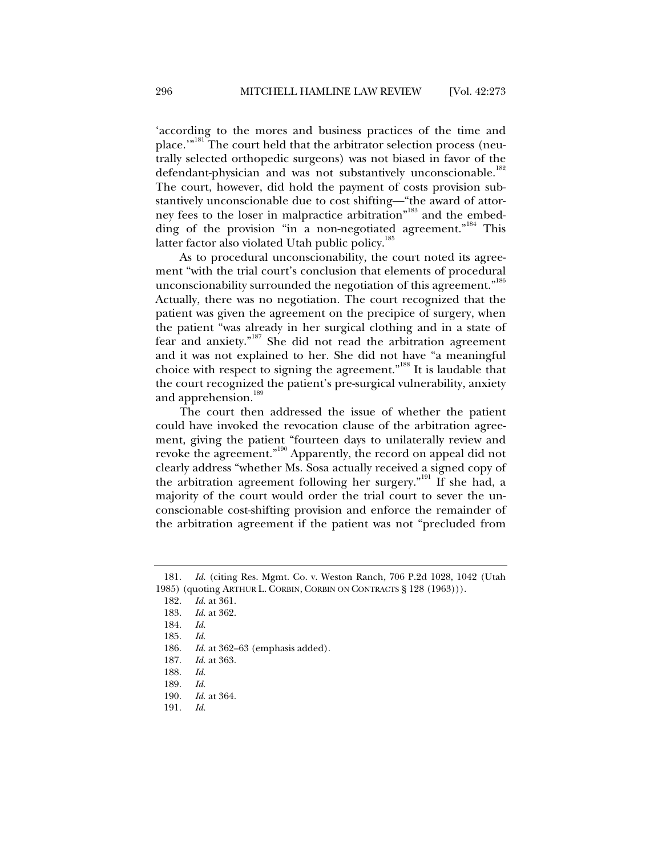'according to the mores and business practices of the time and place."<sup>181</sup> The court held that the arbitrator selection process (neutrally selected orthopedic surgeons) was not biased in favor of the defendant-physician and was not substantively unconscionable.<sup>182</sup> The court, however, did hold the payment of costs provision substantively unconscionable due to cost shifting—"the award of attorney fees to the loser in malpractice arbitration"<sup>183</sup> and the embedding of the provision "in a non-negotiated agreement."<sup>184</sup> This latter factor also violated Utah public policy.<sup>185</sup>

As to procedural unconscionability, the court noted its agreement "with the trial court's conclusion that elements of procedural unconscionability surrounded the negotiation of this agreement."<sup>186</sup> Actually, there was no negotiation. The court recognized that the patient was given the agreement on the precipice of surgery, when the patient "was already in her surgical clothing and in a state of fear and anxiety."187 She did not read the arbitration agreement and it was not explained to her. She did not have "a meaningful choice with respect to signing the agreement."188 It is laudable that the court recognized the patient's pre-surgical vulnerability, anxiety and apprehension.<sup>189</sup>

The court then addressed the issue of whether the patient could have invoked the revocation clause of the arbitration agreement, giving the patient "fourteen days to unilaterally review and revoke the agreement."190 Apparently, the record on appeal did not clearly address "whether Ms. Sosa actually received a signed copy of the arbitration agreement following her surgery."191 If she had, a majority of the court would order the trial court to sever the unconscionable cost-shifting provision and enforce the remainder of the arbitration agreement if the patient was not "precluded from

 <sup>181.</sup> *Id.* (citing Res. Mgmt. Co. v. Weston Ranch, 706 P.2d 1028, 1042 (Utah 1985) (quoting ARTHUR L. CORBIN, CORBIN ON CONTRACTS § 128 (1963))).

 <sup>182.</sup> *Id.* at 361.

 <sup>183.</sup> *Id.* at 362.

 <sup>184.</sup> *Id.*

 <sup>185.</sup> *Id.*

 <sup>186.</sup> *Id.* at 362–63 (emphasis added).

 <sup>187.</sup> *Id.* at 363.

 <sup>188.</sup> *Id.*

 <sup>189.</sup> *Id.*

 <sup>190.</sup> *Id.* at 364.

 <sup>191.</sup> *Id.*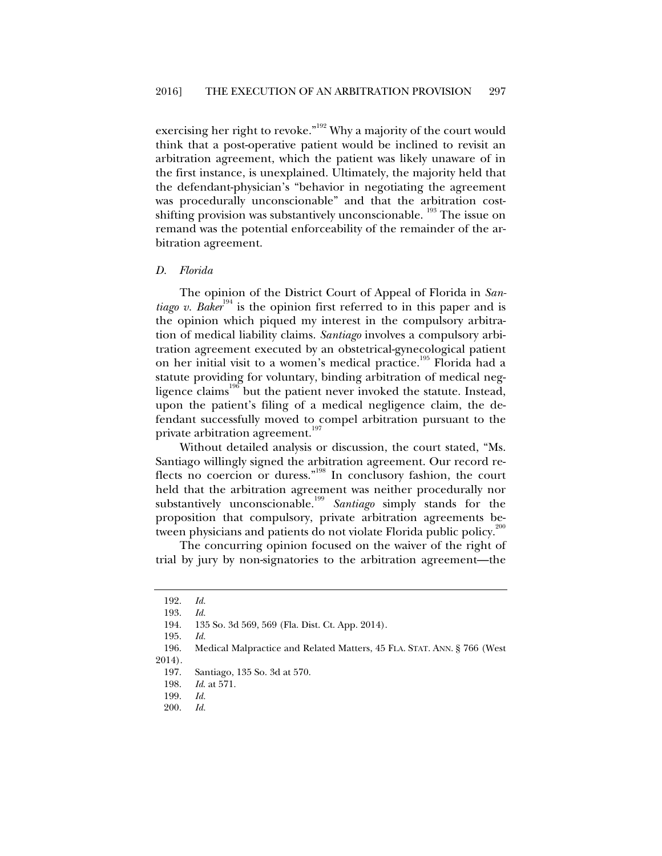exercising her right to revoke."<sup>192</sup> Why a majority of the court would think that a post-operative patient would be inclined to revisit an arbitration agreement, which the patient was likely unaware of in the first instance, is unexplained. Ultimately, the majority held that the defendant-physician's "behavior in negotiating the agreement was procedurally unconscionable" and that the arbitration costshifting provision was substantively unconscionable.  $^{193}$  The issue on remand was the potential enforceability of the remainder of the arbitration agreement.

#### *D. Florida*

The opinion of the District Court of Appeal of Florida in *Santiago v. Baker*<sup>194</sup> is the opinion first referred to in this paper and is the opinion which piqued my interest in the compulsory arbitration of medical liability claims. *Santiago* involves a compulsory arbitration agreement executed by an obstetrical-gynecological patient on her initial visit to a women's medical practice.<sup>195</sup> Florida had a statute providing for voluntary, binding arbitration of medical negligence claims<sup>196</sup> but the patient never invoked the statute. Instead, upon the patient's filing of a medical negligence claim, the defendant successfully moved to compel arbitration pursuant to the private arbitration agreement.<sup>197</sup>

Without detailed analysis or discussion, the court stated, "Ms. Santiago willingly signed the arbitration agreement. Our record reflects no coercion or duress."<sup>198</sup> In conclusory fashion, the court held that the arbitration agreement was neither procedurally nor substantively unconscionable.<sup>199</sup> *Santiago* simply stands for the proposition that compulsory, private arbitration agreements between physicians and patients do not violate Florida public policy.<sup>200</sup>

The concurring opinion focused on the waiver of the right of trial by jury by non-signatories to the arbitration agreement—the

195. *Id.*

 <sup>192.</sup> *Id.*

 <sup>193.</sup> *Id.*

 <sup>194. 135</sup> So. 3d 569, 569 (Fla. Dist. Ct. App. 2014).

 <sup>196.</sup> Medical Malpractice and Related Matters, 45 FLA. STAT. ANN. § 766 (West 2014).

 <sup>197.</sup> Santiago, 135 So. 3d at 570.

 <sup>198.</sup> *Id*. at 571.

 <sup>199.</sup> *Id.*

 <sup>200.</sup> *Id.*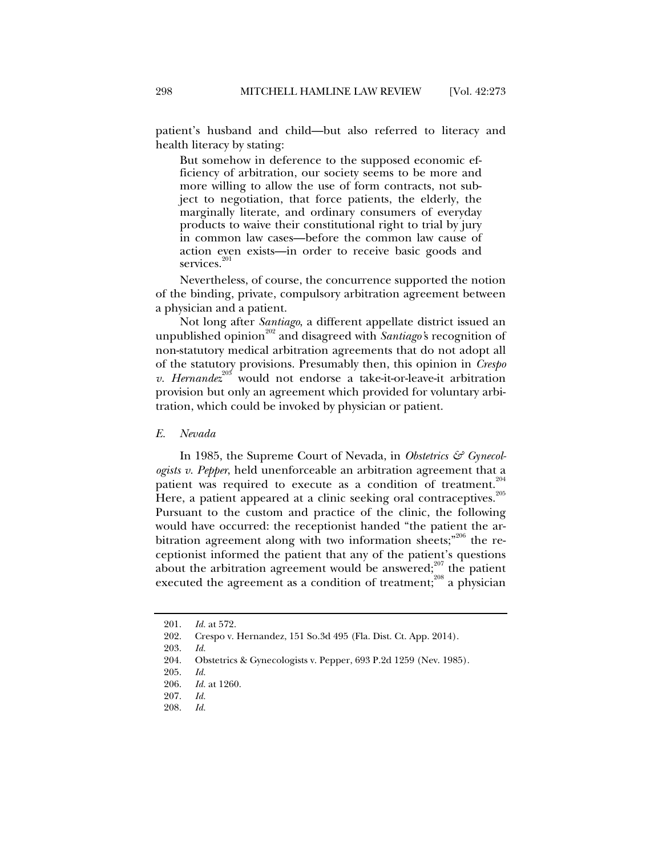patient's husband and child—but also referred to literacy and health literacy by stating:

But somehow in deference to the supposed economic efficiency of arbitration, our society seems to be more and more willing to allow the use of form contracts, not subject to negotiation, that force patients, the elderly, the marginally literate, and ordinary consumers of everyday products to waive their constitutional right to trial by jury in common law cases—before the common law cause of action even exists—in order to receive basic goods and services.<sup>20</sup>

Nevertheless, of course, the concurrence supported the notion of the binding, private, compulsory arbitration agreement between a physician and a patient.

Not long after *Santiago*, a different appellate district issued an unpublished opinion<sup>202</sup> and disagreed with *Santiago's* recognition of non-statutory medical arbitration agreements that do not adopt all of the statutory provisions. Presumably then, this opinion in *Crespo v. Hernande*<sup>203</sup> would not endorse a take-it-or-leave-it arbitration provision but only an agreement which provided for voluntary arbitration, which could be invoked by physician or patient.

*E. Nevada* 

In 1985, the Supreme Court of Nevada, in *Obstetrics & Gynecologists v. Pepper*, held unenforceable an arbitration agreement that a patient was required to execute as a condition of treatment.<sup>204</sup> Here, a patient appeared at a clinic seeking oral contraceptives.<sup>205</sup> Pursuant to the custom and practice of the clinic, the following would have occurred: the receptionist handed "the patient the arbitration agreement along with two information sheets; $"^{206}$  the receptionist informed the patient that any of the patient's questions about the arbitration agreement would be answered; $2^{207}$  the patient executed the agreement as a condition of treatment;<sup>208</sup> a physician

 <sup>201.</sup> *Id.* at 572.

 <sup>202.</sup> Crespo v. Hernandez, 151 So.3d 495 (Fla. Dist. Ct. App. 2014).

 <sup>203.</sup> *Id.*

 <sup>204.</sup> Obstetrics & Gynecologists v. Pepper, 693 P.2d 1259 (Nev. 1985).

 <sup>205.</sup> *Id.*

 <sup>206.</sup> *Id.* at 1260.

 <sup>207.</sup> *Id.*

 <sup>208.</sup> *Id.*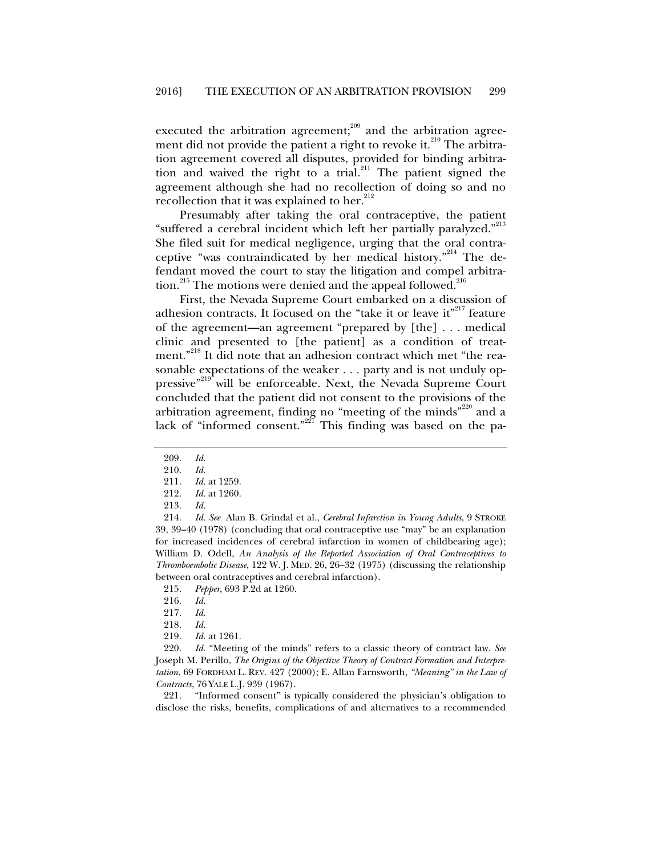executed the arbitration agreement; $209$  and the arbitration agreement did not provide the patient a right to revoke it. $^{210}$  The arbitration agreement covered all disputes, provided for binding arbitration and waived the right to a trial.<sup>211</sup> The patient signed the agreement although she had no recollection of doing so and no recollection that it was explained to her. $212$ 

Presumably after taking the oral contraceptive, the patient "suffered a cerebral incident which left her partially paralyzed."<sup>213</sup> She filed suit for medical negligence, urging that the oral contraceptive "was contraindicated by her medical history."<sup>214</sup> The defendant moved the court to stay the litigation and compel arbitration.<sup>215</sup> The motions were denied and the appeal followed.<sup>216</sup>

First, the Nevada Supreme Court embarked on a discussion of adhesion contracts. It focused on the "take it or leave  $it^{917}$  feature of the agreement—an agreement "prepared by [the] . . . medical clinic and presented to [the patient] as a condition of treatment."<sup>218</sup> It did note that an adhesion contract which met "the reasonable expectations of the weaker . . . party and is not unduly oppressive"<sup>219</sup> will be enforceable. Next, the Nevada Supreme Court concluded that the patient did not consent to the provisions of the arbitration agreement, finding no "meeting of the minds"<sup>220</sup> and a lack of "informed consent."<sup>221</sup> This finding was based on the pa-

 214. *Id. See* Alan B. Grindal et al., *Cerebral Infarction in Young Adults*, 9 STROKE 39, 39–40 (1978) (concluding that oral contraceptive use "may" be an explanation for increased incidences of cerebral infarction in women of childbearing age); William D. Odell, *An Analysis of the Reported Association of Oral Contraceptives to Thromboembolic Disease*, 122 W. J. MED. 26, 26–32 (1975) (discussing the relationship between oral contraceptives and cerebral infarction).

215. *Pepper*, 693 P.2d at 1260.

 220. *Id*. "Meeting of the minds" refers to a classic theory of contract law. *See* Joseph M. Perillo, *The Origins of the Objective Theory of Contract Formation and Interpretation*, 69 FORDHAM L. REV. 427 (2000); E. Allan Farnsworth, *"Meaning" in the Law of Contracts*, 76 YALE L.J. 939 (1967).

 221. "Informed consent" is typically considered the physician's obligation to disclose the risks, benefits, complications of and alternatives to a recommended

 <sup>209.</sup> *Id.*

 <sup>210.</sup> *Id.*

 <sup>211.</sup> *Id.* at 1259.

 <sup>212.</sup> *Id.* at 1260.

 <sup>213.</sup> *Id.*

 <sup>216.</sup> *Id.* 

 <sup>217.</sup> *Id*.

 <sup>218.</sup> *Id.*

 <sup>219.</sup> *Id.* at 1261.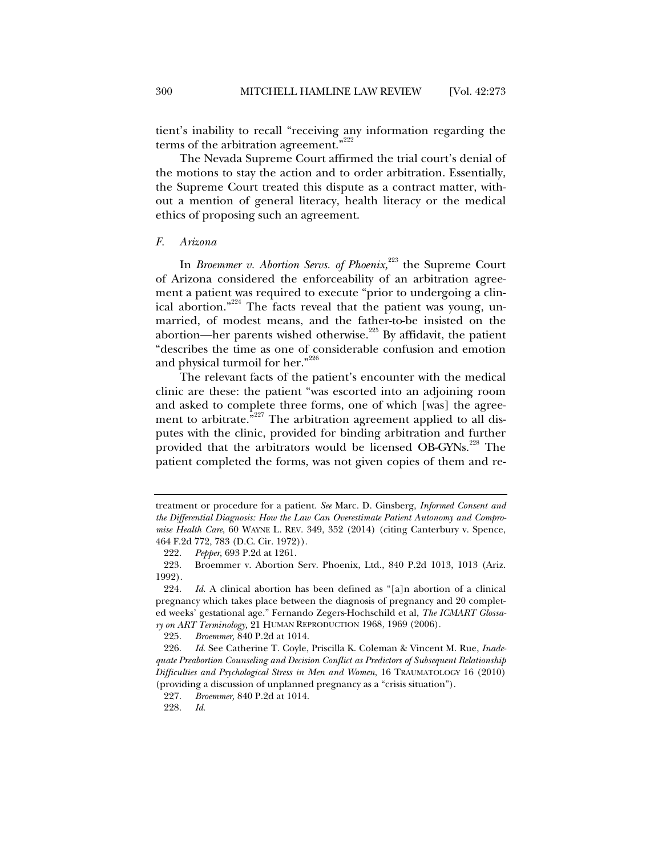tient's inability to recall "receiving any information regarding the terms of the arbitration agreement."<sup>222</sup>

The Nevada Supreme Court affirmed the trial court's denial of the motions to stay the action and to order arbitration. Essentially, the Supreme Court treated this dispute as a contract matter, without a mention of general literacy, health literacy or the medical ethics of proposing such an agreement.

#### *F. Arizona*

In *Broemmer v. Abortion Servs. of Phoenix*<sup>223</sup> the Supreme Court of Arizona considered the enforceability of an arbitration agreement a patient was required to execute "prior to undergoing a clinical abortion."<sup>224</sup> The facts reveal that the patient was young, unmarried, of modest means, and the father-to-be insisted on the abortion—her parents wished otherwise.<sup>225</sup> By affidavit, the patient "describes the time as one of considerable confusion and emotion and physical turmoil for her."<sup>226</sup>

The relevant facts of the patient's encounter with the medical clinic are these: the patient "was escorted into an adjoining room and asked to complete three forms, one of which [was] the agreement to arbitrate.<sup> $327$ </sup> The arbitration agreement applied to all disputes with the clinic, provided for binding arbitration and further provided that the arbitrators would be licensed OB-GYNs.<sup>228</sup> The patient completed the forms, was not given copies of them and re-

treatment or procedure for a patient. *See* Marc. D. Ginsberg, *Informed Consent and the Differential Diagnosis: How the Law Can Overestimate Patient Autonomy and Compromise Health Care*, 60 WAYNE L. REV. 349, 352 (2014) (citing Canterbury v. Spence, 464 F.2d 772, 783 (D.C. Cir. 1972)).

 <sup>222.</sup> *Pepper*, 693 P.2d at 1261.

 <sup>223.</sup> Broemmer v. Abortion Serv. Phoenix, Ltd., 840 P.2d 1013, 1013 (Ariz. 1992).

 <sup>224.</sup> *Id.* A clinical abortion has been defined as "[a]n abortion of a clinical pregnancy which takes place between the diagnosis of pregnancy and 20 completed weeks' gestational age." Fernando Zegers-Hochschild et al, *The ICMART Glossary on ART Terminology,* 21 HUMAN REPRODUCTION 1968, 1969 (2006).

 <sup>225.</sup> *Broemmer,* 840 P.2d at 1014.

 <sup>226.</sup> *Id*. See Catherine T. Coyle, Priscilla K. Coleman & Vincent M. Rue, *Inadequate Preabortion Counseling and Decision Conflict as Predictors of Subsequent Relationship Difficulties and Psychological Stress in Men and Women*, 16 TRAUMATOLOGY 16 (2010) (providing a discussion of unplanned pregnancy as a "crisis situation").

 <sup>227.</sup> *Broemmer,* 840 P.2d at 1014.

 <sup>228.</sup> *Id*.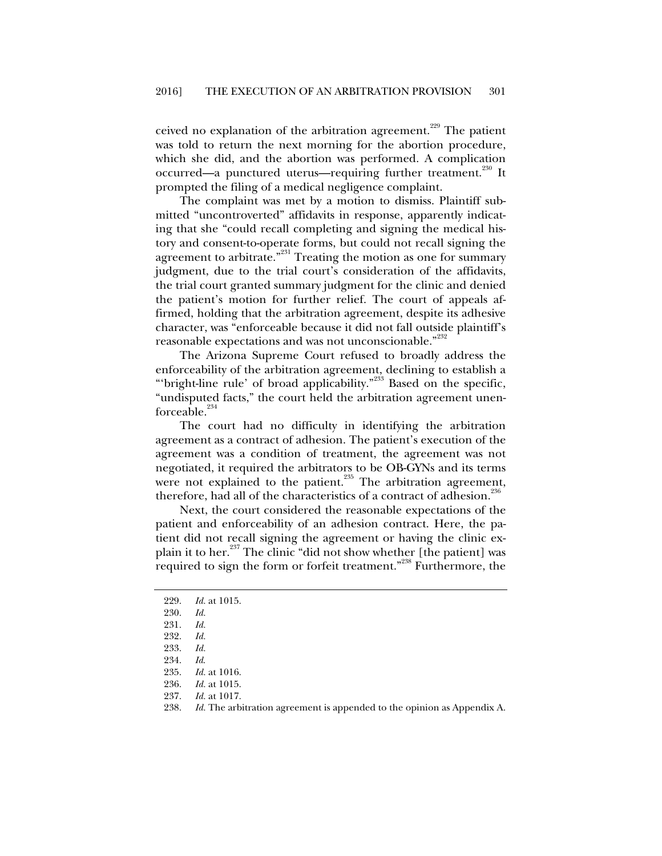ceived no explanation of the arbitration agreement.<sup>229</sup> The patient was told to return the next morning for the abortion procedure, which she did, and the abortion was performed. A complication occurred—a punctured uterus—requiring further treatment.<sup>230</sup> It prompted the filing of a medical negligence complaint.

The complaint was met by a motion to dismiss. Plaintiff submitted "uncontroverted" affidavits in response, apparently indicating that she "could recall completing and signing the medical history and consent-to-operate forms, but could not recall signing the agreement to arbitrate."<sup>231</sup> Treating the motion as one for summary judgment, due to the trial court's consideration of the affidavits, the trial court granted summary judgment for the clinic and denied the patient's motion for further relief. The court of appeals affirmed, holding that the arbitration agreement, despite its adhesive character, was "enforceable because it did not fall outside plaintiff's reasonable expectations and was not unconscionable."<sup>232</sup>

The Arizona Supreme Court refused to broadly address the enforceability of the arbitration agreement, declining to establish a "bright-line rule' of broad applicability."<sup>233</sup> Based on the specific, "undisputed facts," the court held the arbitration agreement unenforceable. $234$ 

The court had no difficulty in identifying the arbitration agreement as a contract of adhesion. The patient's execution of the agreement was a condition of treatment, the agreement was not negotiated, it required the arbitrators to be OB-GYNs and its terms were not explained to the patient.<sup>235</sup> The arbitration agreement, therefore, had all of the characteristics of a contract of adhesion. $236$ 

Next, the court considered the reasonable expectations of the patient and enforceability of an adhesion contract. Here, the patient did not recall signing the agreement or having the clinic explain it to her. $237$  The clinic "did not show whether [the patient] was required to sign the form or forfeit treatment."<sup>238</sup> Furthermore, the

 <sup>229.</sup> *Id.* at 1015.

 <sup>230.</sup> *Id.*

 <sup>231.</sup> *Id.*

 <sup>232.</sup> *Id.*

 <sup>233.</sup> *Id.*

 <sup>234.</sup> *Id*.

 <sup>235.</sup> *Id.* at 1016.

 <sup>236.</sup> *Id.* at 1015.

 <sup>237.</sup> *Id.* at 1017.

 <sup>238.</sup> *Id.* The arbitration agreement is appended to the opinion as Appendix A.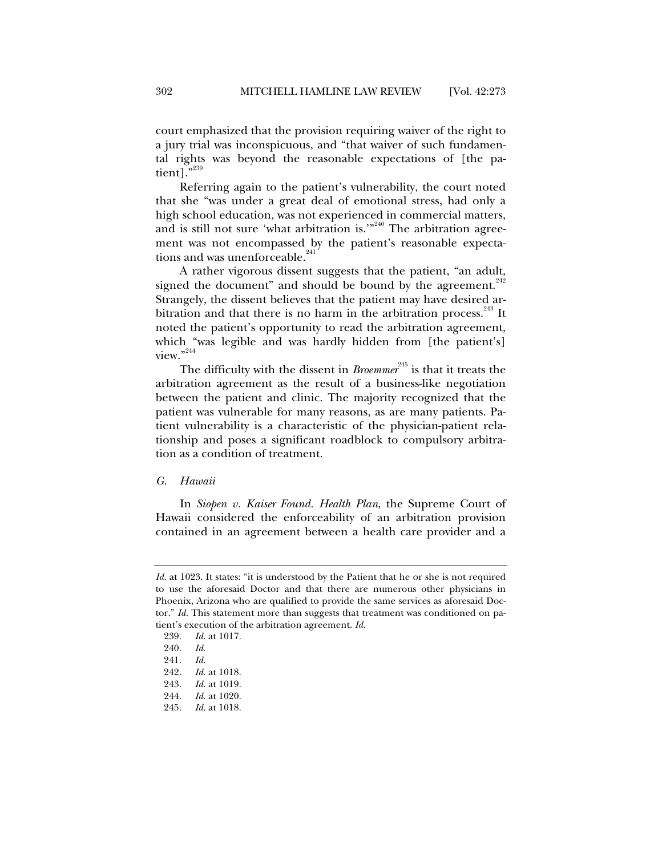court emphasized that the provision requiring waiver of the right to a jury trial was inconspicuous, and "that waiver of such fundamental rights was beyond the reasonable expectations of [the patient] $\left[\cdot\right]$ <sup>"</sup>

Referring again to the patient's vulnerability, the court noted that she "was under a great deal of emotional stress, had only a high school education, was not experienced in commercial matters, and is still not sure 'what arbitration is.' $n^{240}$  The arbitration agreement was not encompassed by the patient's reasonable expectations and was unenforceable.<sup>241</sup>

A rather vigorous dissent suggests that the patient, "an adult, signed the document" and should be bound by the agreement. $242$ Strangely, the dissent believes that the patient may have desired arbitration and that there is no harm in the arbitration process.  $243$  It noted the patient's opportunity to read the arbitration agreement, which "was legible and was hardly hidden from [the patient's] view."244

The difficulty with the dissent in *Broemmer*<sup>245</sup> is that it treats the arbitration agreement as the result of a business-like negotiation between the patient and clinic. The majority recognized that the patient was vulnerable for many reasons, as are many patients. Patient vulnerability is a characteristic of the physician-patient relationship and poses a significant roadblock to compulsory arbitration as a condition of treatment.

## *G. Hawaii*

In *Siopen v. Kaiser Found. Health Plan*, the Supreme Court of Hawaii considered the enforceability of an arbitration provision contained in an agreement between a health care provider and a

*Id.* at 1023. It states: "it is understood by the Patient that he or she is not required to use the aforesaid Doctor and that there are numerous other physicians in Phoenix, Arizona who are qualified to provide the same services as aforesaid Doctor." *Id.* This statement more than suggests that treatment was conditioned on patient's execution of the arbitration agreement. *Id.* 

 <sup>239.</sup> *Id.* at 1017.

 <sup>240.</sup> *Id.*

 <sup>241.</sup> *Id.*

 <sup>242.</sup> *Id.* at 1018.

 <sup>243.</sup> *Id.* at 1019.

 <sup>244.</sup> *Id.* at 1020.

 <sup>245.</sup> *Id.* at 1018.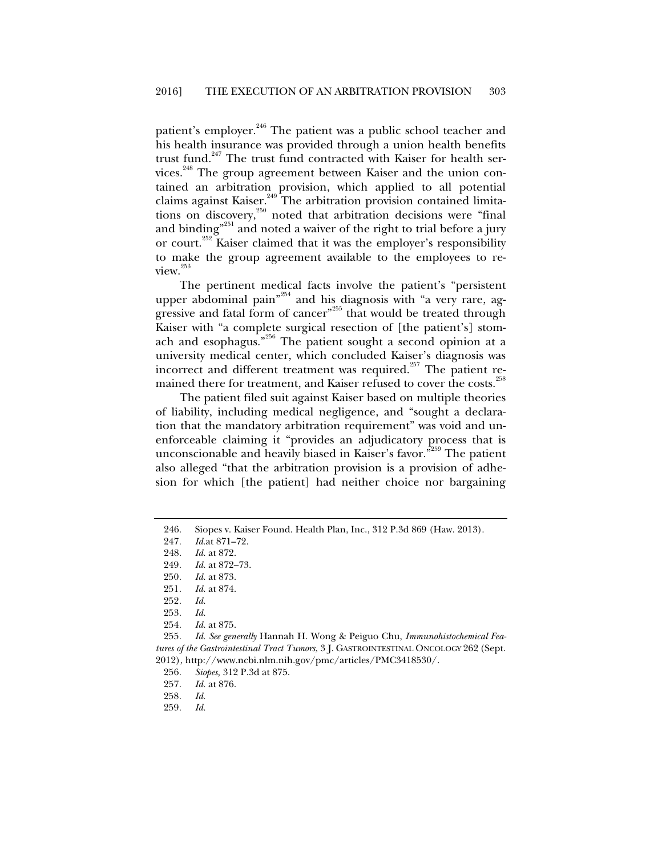patient's employer.<sup>246</sup> The patient was a public school teacher and his health insurance was provided through a union health benefits trust fund.<sup>247</sup> The trust fund contracted with Kaiser for health services.<sup>248</sup> The group agreement between Kaiser and the union contained an arbitration provision, which applied to all potential claims against Kaiser.<sup>249</sup> The arbitration provision contained limitations on discovery, $250$  noted that arbitration decisions were "final and binding"<sup>251</sup> and noted a waiver of the right to trial before a jury or court.<sup>252</sup> Kaiser claimed that it was the employer's responsibility to make the group agreement available to the employees to review.<sup>253</sup>

The pertinent medical facts involve the patient's "persistent upper abdominal pain<sup> $254$ </sup> and his diagnosis with "a very rare, aggressive and fatal form of cancer"<sup>255</sup> that would be treated through Kaiser with "a complete surgical resection of [the patient's] stomach and esophagus."256 The patient sought a second opinion at a university medical center, which concluded Kaiser's diagnosis was incorrect and different treatment was required.<sup>257</sup> The patient remained there for treatment, and Kaiser refused to cover the costs.<sup>258</sup>

The patient filed suit against Kaiser based on multiple theories of liability, including medical negligence, and "sought a declaration that the mandatory arbitration requirement" was void and unenforceable claiming it "provides an adjudicatory process that is unconscionable and heavily biased in Kaiser's favor."<sup>259</sup> The patient also alleged "that the arbitration provision is a provision of adhesion for which [the patient] had neither choice nor bargaining

251*. Id.* at 874.

- 253*. Id.*
- 254*. Id.* at 875.

255*. Id. See generally* Hannah H. Wong & Peiguo Chu, *Immunohistochemical Features of the Gastrointestinal Tract Tumors*, 3 J. GASTROINTESTINAL ONCOLOGY 262 (Sept. 2012), http://www.ncbi.nlm.nih.gov/pmc/articles/PMC3418530/.

 <sup>246.</sup> Siopes v. Kaiser Found. Health Plan, Inc., 312 P.3d 869 (Haw. 2013).

<sup>247</sup>*. Id.*at 871–72.

 <sup>248.</sup> *Id.* at 872.

<sup>249</sup>*. Id.* at 872–73.

<sup>250</sup>*. Id.* at 873.

<sup>252</sup>*. Id.*

<sup>256</sup>*. Siopes,* 312 P.3d at 875.

<sup>257</sup>*. Id.* at 876.

<sup>258</sup>*. Id.*

<sup>259</sup>*. Id.*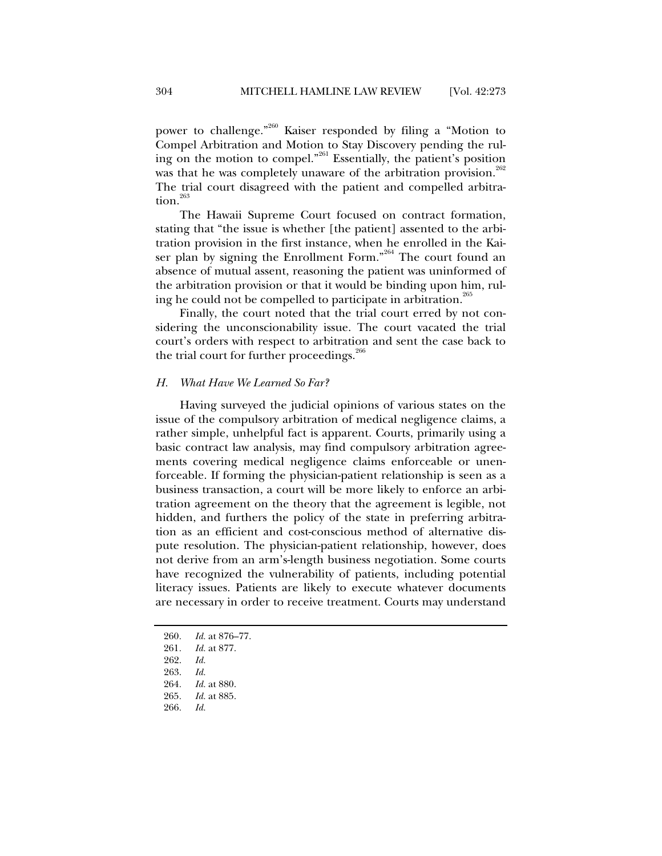power to challenge."<sup>260</sup> Kaiser responded by filing a "Motion to Compel Arbitration and Motion to Stay Discovery pending the ruling on the motion to compel."261 Essentially, the patient's position was that he was completely unaware of the arbitration provision.<sup>262</sup> The trial court disagreed with the patient and compelled arbitration.<sup>263</sup>

The Hawaii Supreme Court focused on contract formation, stating that "the issue is whether [the patient] assented to the arbitration provision in the first instance, when he enrolled in the Kaiser plan by signing the Enrollment Form.<sup>264</sup> The court found an absence of mutual assent, reasoning the patient was uninformed of the arbitration provision or that it would be binding upon him, ruling he could not be compelled to participate in arbitration.<sup>205</sup>

Finally, the court noted that the trial court erred by not considering the unconscionability issue. The court vacated the trial court's orders with respect to arbitration and sent the case back to the trial court for further proceedings.<sup>266</sup>

## *H. What Have We Learned So Far?*

Having surveyed the judicial opinions of various states on the issue of the compulsory arbitration of medical negligence claims, a rather simple, unhelpful fact is apparent. Courts, primarily using a basic contract law analysis, may find compulsory arbitration agreements covering medical negligence claims enforceable or unenforceable. If forming the physician-patient relationship is seen as a business transaction, a court will be more likely to enforce an arbitration agreement on the theory that the agreement is legible, not hidden, and furthers the policy of the state in preferring arbitration as an efficient and cost-conscious method of alternative dispute resolution. The physician-patient relationship, however, does not derive from an arm's-length business negotiation. Some courts have recognized the vulnerability of patients, including potential literacy issues. Patients are likely to execute whatever documents are necessary in order to receive treatment. Courts may understand

<sup>260</sup>*. Id.* at 876–77.

<sup>261</sup>*. Id.* at 877.

 <sup>262.</sup> *Id.* 

 <sup>263.</sup> *Id.* 

<sup>264</sup>*. Id.* at 880.

<sup>265</sup>*. Id.* at 885.

<sup>266</sup>*. Id.*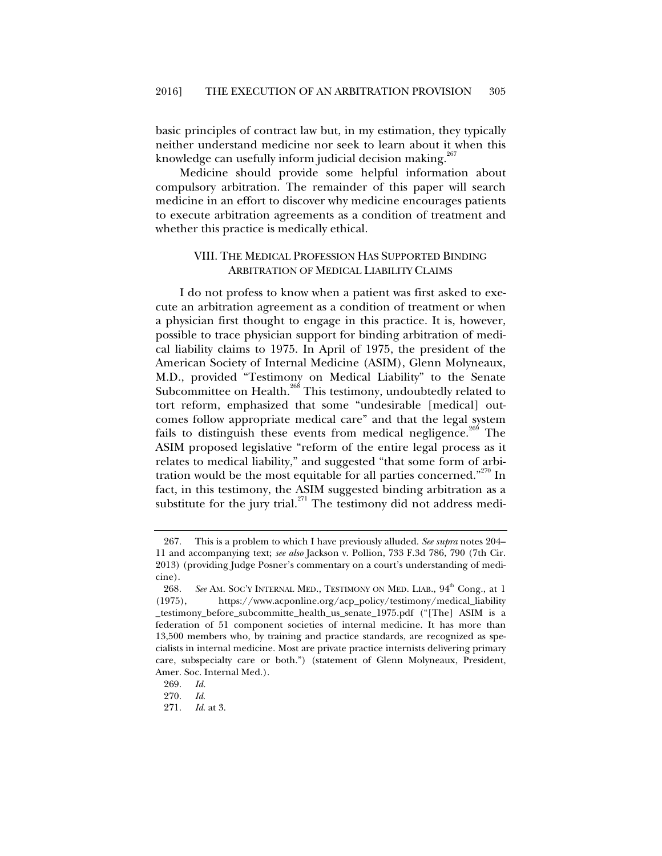basic principles of contract law but, in my estimation, they typically neither understand medicine nor seek to learn about it when this knowledge can usefully inform judicial decision making.<sup>267</sup>

Medicine should provide some helpful information about compulsory arbitration. The remainder of this paper will search medicine in an effort to discover why medicine encourages patients to execute arbitration agreements as a condition of treatment and whether this practice is medically ethical.

# VIII. THE MEDICAL PROFESSION HAS SUPPORTED BINDING ARBITRATION OF MEDICAL LIABILITY CLAIMS

I do not profess to know when a patient was first asked to execute an arbitration agreement as a condition of treatment or when a physician first thought to engage in this practice. It is, however, possible to trace physician support for binding arbitration of medical liability claims to 1975. In April of 1975, the president of the American Society of Internal Medicine (ASIM), Glenn Molyneaux, M.D., provided "Testimony on Medical Liability" to the Senate Subcommittee on Health.<sup>268</sup> This testimony, undoubtedly related to tort reform, emphasized that some "undesirable [medical] outcomes follow appropriate medical care" and that the legal system fails to distinguish these events from medical negligence.<sup>269</sup> The ASIM proposed legislative "reform of the entire legal process as it relates to medical liability," and suggested "that some form of arbitration would be the most equitable for all parties concerned." $270$  In fact, in this testimony, the ASIM suggested binding arbitration as a substitute for the jury trial. $^{271}$  The testimony did not address medi-

 <sup>267.</sup> This is a problem to which I have previously alluded. *See supra* notes 204– 11 and accompanying text; *see also* Jackson v. Pollion, 733 F.3d 786, 790 (7th Cir. 2013) (providing Judge Posner's commentary on a court's understanding of medicine).

<sup>268.</sup> See AM. SOC'Y INTERNAL MED., TESTIMONY ON MED. LIAB., 94<sup>th</sup> Cong., at 1 (1975), https://www.acponline.org/acp\_policy/testimony/medical\_liability \_testimony\_before\_subcommitte\_health\_us\_senate\_1975.pdf ("[The] ASIM is a federation of 51 component societies of internal medicine. It has more than 13,500 members who, by training and practice standards, are recognized as specialists in internal medicine. Most are private practice internists delivering primary care, subspecialty care or both.") (statement of Glenn Molyneaux, President, Amer. Soc. Internal Med.).

 <sup>269.</sup> *Id.*

 <sup>270.</sup> *Id*.

 <sup>271.</sup> *Id*. at 3.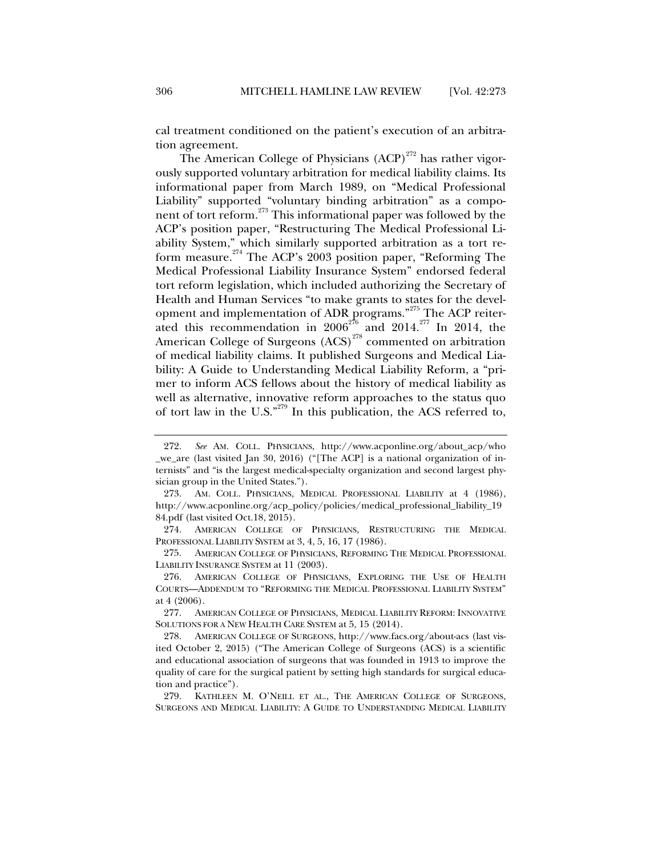cal treatment conditioned on the patient's execution of an arbitration agreement.

The American College of Physicians  $(ACP)^{272}$  has rather vigorously supported voluntary arbitration for medical liability claims. Its informational paper from March 1989, on "Medical Professional Liability" supported "voluntary binding arbitration" as a component of tort reform.273 This informational paper was followed by the ACP's position paper, "Restructuring The Medical Professional Liability System," which similarly supported arbitration as a tort reform measure.274 The ACP's 2003 position paper, "Reforming The Medical Professional Liability Insurance System" endorsed federal tort reform legislation, which included authorizing the Secretary of Health and Human Services "to make grants to states for the development and implementation of ADR programs."<sup>275</sup> The ACP reiterated this recommendation in  $2006^{276}$  and  $2014$ .<sup>277</sup> In 2014, the American College of Surgeons  $\left( \text{ACS} \right)^{278}$  commented on arbitration of medical liability claims. It published Surgeons and Medical Liability: A Guide to Understanding Medical Liability Reform, a "primer to inform ACS fellows about the history of medical liability as well as alternative, innovative reform approaches to the status quo of tort law in the U.S."279 In this publication, the ACS referred to,

 274. AMERICAN COLLEGE OF PHYSICIANS, RESTRUCTURING THE MEDICAL PROFESSIONAL LIABILITY SYSTEM at 3, 4, 5, 16, 17 (1986).

 275. AMERICAN COLLEGE OF PHYSICIANS, REFORMING THE MEDICAL PROFESSIONAL LIABILITY INSURANCE SYSTEM at 11 (2003).

 276. AMERICAN COLLEGE OF PHYSICIANS, EXPLORING THE USE OF HEALTH COURTS—ADDENDUM TO "REFORMING THE MEDICAL PROFESSIONAL LIABILITY SYSTEM" at 4 (2006).

 277. AMERICAN COLLEGE OF PHYSICIANS, MEDICAL LIABILITY REFORM: INNOVATIVE SOLUTIONS FOR A NEW HEALTH CARE SYSTEM at 5, 15 (2014).

 279. KATHLEEN M. O'NEILL ET AL., THE AMERICAN COLLEGE OF SURGEONS, SURGEONS AND MEDICAL LIABILITY: A GUIDE TO UNDERSTANDING MEDICAL LIABILITY

 <sup>272.</sup> *See* AM. COLL. PHYSICIANS, http://www.acponline.org/about\_acp/who \_we\_are (last visited Jan 30, 2016) ("[The ACP] is a national organization of internists" and "is the largest medical-specialty organization and second largest physician group in the United States.").

 <sup>273.</sup> AM. COLL. PHYSICIANS, MEDICAL PROFESSIONAL LIABILITY at 4 (1986), http://www.acponline.org/acp\_policy/policies/medical\_professional\_liability\_19 84.pdf (last visited Oct.18, 2015).

 <sup>278.</sup> AMERICAN COLLEGE OF SURGEONS, http://www.facs.org/about-acs (last visited October 2, 2015) ("The American College of Surgeons (ACS) is a scientific and educational association of surgeons that was founded in 1913 to improve the quality of care for the surgical patient by setting high standards for surgical education and practice").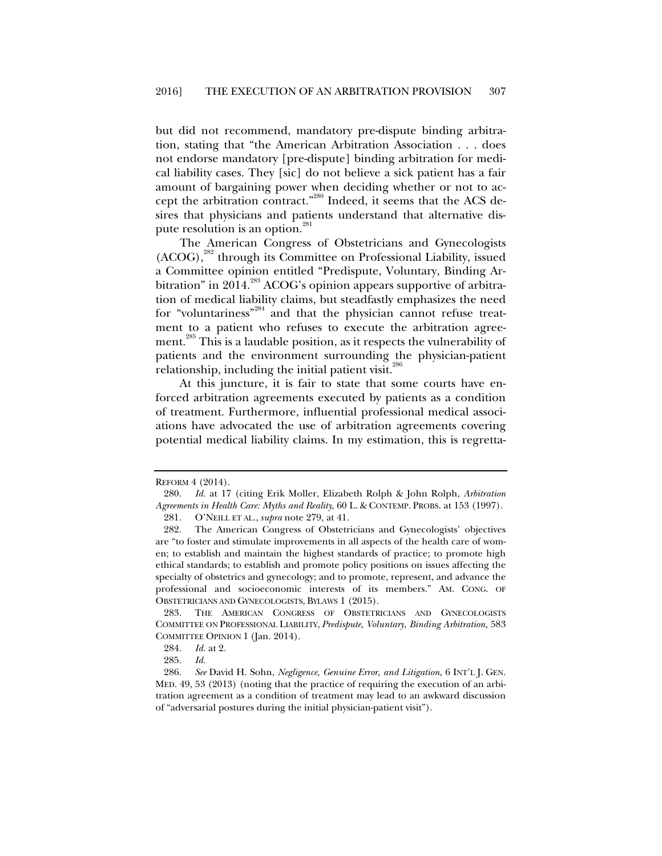but did not recommend, mandatory pre-dispute binding arbitration, stating that "the American Arbitration Association . . . does not endorse mandatory [pre-dispute] binding arbitration for medical liability cases. They [sic] do not believe a sick patient has a fair amount of bargaining power when deciding whether or not to accept the arbitration contract."280 Indeed, it seems that the ACS desires that physicians and patients understand that alternative dispute resolution is an option.<sup>281</sup>

The American Congress of Obstetricians and Gynecologists  $(ACOG)$ ,<sup>282</sup> through its Committee on Professional Liability, issued a Committee opinion entitled "Predispute, Voluntary, Binding Arbitration" in 2014.<sup>283</sup> ACOG's opinion appears supportive of arbitration of medical liability claims, but steadfastly emphasizes the need for "voluntariness"<sup>284</sup> and that the physician cannot refuse treatment to a patient who refuses to execute the arbitration agreement.<sup>285</sup> This is a laudable position, as it respects the vulnerability of patients and the environment surrounding the physician-patient relationship, including the initial patient visit.<sup>286</sup>

At this juncture, it is fair to state that some courts have enforced arbitration agreements executed by patients as a condition of treatment. Furthermore, influential professional medical associations have advocated the use of arbitration agreements covering potential medical liability claims. In my estimation, this is regretta-

REFORM 4 (2014).

 <sup>280.</sup> *Id.* at 17 (citing Erik Moller, Elizabeth Rolph & John Rolph, *Arbitration Agreements in Health Care: Myths and Reality*, 60 L. & CONTEMP. PROBS. at 153 (1997).

 <sup>281.</sup> O'NEILL ET AL., *supra* note 279, at 41.

 <sup>282.</sup> The American Congress of Obstetricians and Gynecologists' objectives are "to foster and stimulate improvements in all aspects of the health care of women; to establish and maintain the highest standards of practice; to promote high ethical standards; to establish and promote policy positions on issues affecting the specialty of obstetrics and gynecology; and to promote, represent, and advance the professional and socioeconomic interests of its members." AM. CONG. OF OBSTETRICIANS AND GYNECOLOGISTS, BYLAWS 1 (2015).

 <sup>283.</sup> THE AMERICAN CONGRESS OF OBSTETRICIANS AND GYNECOLOGISTS COMMITTEE ON PROFESSIONAL LIABILITY, *Predispute, Voluntary, Binding Arbitration,* 583 COMMITTEE OPINION 1 (Jan. 2014).

 <sup>284.</sup> *Id.* at 2.

 <sup>285.</sup> *Id.*

 <sup>286.</sup> *See* David H. Sohn, *Negligence, Genuine Error, and Litigation*, 6 INT'L J. GEN. MED. 49, 53 (2013) (noting that the practice of requiring the execution of an arbitration agreement as a condition of treatment may lead to an awkward discussion of "adversarial postures during the initial physician-patient visit").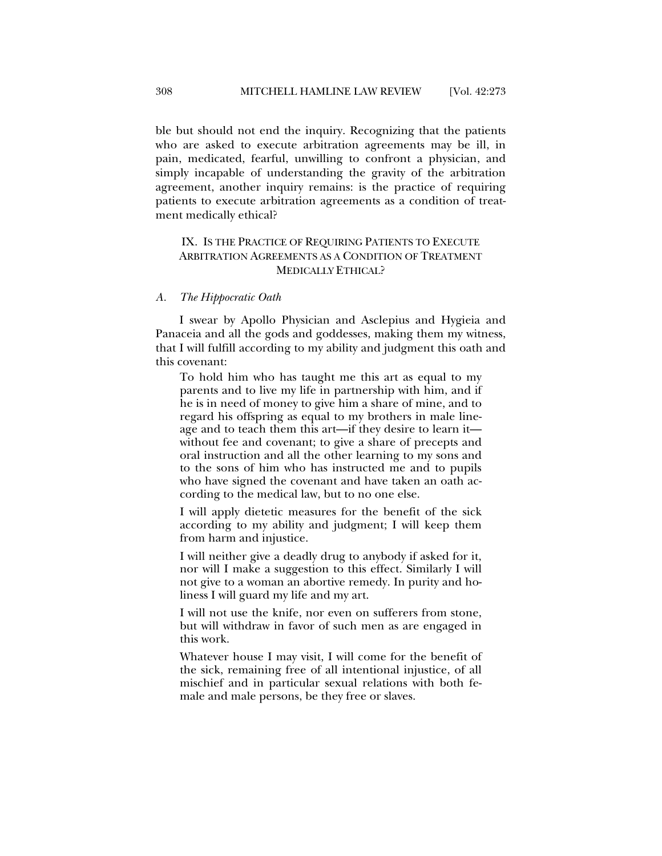ble but should not end the inquiry. Recognizing that the patients who are asked to execute arbitration agreements may be ill, in pain, medicated, fearful, unwilling to confront a physician, and simply incapable of understanding the gravity of the arbitration agreement, another inquiry remains: is the practice of requiring patients to execute arbitration agreements as a condition of treatment medically ethical?

# IX. IS THE PRACTICE OF REQUIRING PATIENTS TO EXECUTE ARBITRATION AGREEMENTS AS A CONDITION OF TREATMENT MEDICALLY ETHICAL?

# *A. The Hippocratic Oath*

I swear by Apollo Physician and Asclepius and Hygieia and Panaceia and all the gods and goddesses, making them my witness, that I will fulfill according to my ability and judgment this oath and this covenant:

To hold him who has taught me this art as equal to my parents and to live my life in partnership with him, and if he is in need of money to give him a share of mine, and to regard his offspring as equal to my brothers in male lineage and to teach them this art—if they desire to learn it without fee and covenant; to give a share of precepts and oral instruction and all the other learning to my sons and to the sons of him who has instructed me and to pupils who have signed the covenant and have taken an oath according to the medical law, but to no one else.

I will apply dietetic measures for the benefit of the sick according to my ability and judgment; I will keep them from harm and injustice.

I will neither give a deadly drug to anybody if asked for it, nor will I make a suggestion to this effect. Similarly I will not give to a woman an abortive remedy. In purity and holiness I will guard my life and my art.

I will not use the knife, nor even on sufferers from stone, but will withdraw in favor of such men as are engaged in this work.

Whatever house I may visit, I will come for the benefit of the sick, remaining free of all intentional injustice, of all mischief and in particular sexual relations with both female and male persons, be they free or slaves.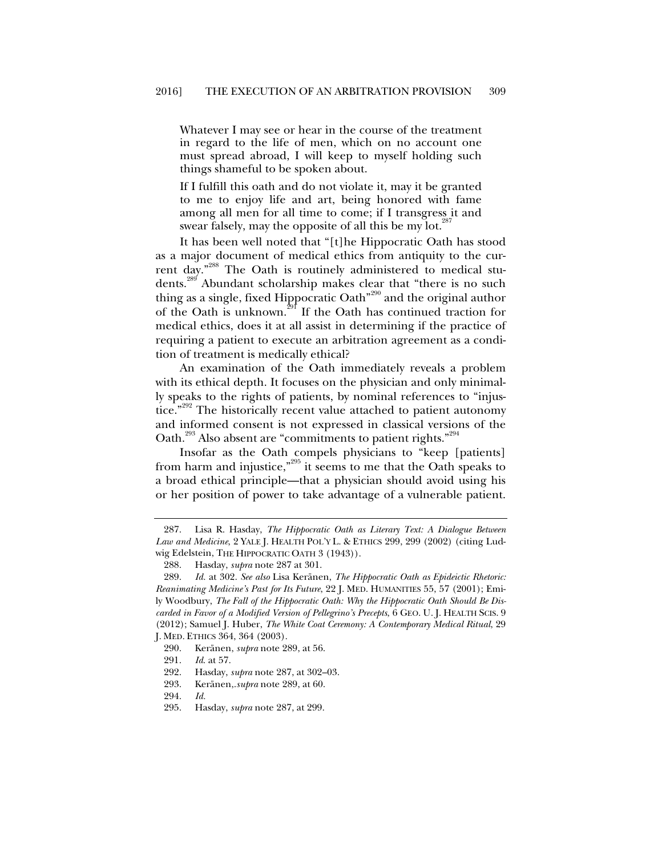Whatever I may see or hear in the course of the treatment in regard to the life of men, which on no account one must spread abroad, I will keep to myself holding such things shameful to be spoken about.

If I fulfill this oath and do not violate it, may it be granted to me to enjoy life and art, being honored with fame among all men for all time to come; if I transgress it and swear falsely, may the opposite of all this be my lot.<sup>2</sup>

It has been well noted that "[t]he Hippocratic Oath has stood as a major document of medical ethics from antiquity to the current day."288 The Oath is routinely administered to medical students.289 Abundant scholarship makes clear that "there is no such thing as a single, fixed Hippocratic Oath"290 and the original author of the Oath is unknown.<sup>291</sup> If the Oath has continued traction for medical ethics, does it at all assist in determining if the practice of requiring a patient to execute an arbitration agreement as a condition of treatment is medically ethical?

An examination of the Oath immediately reveals a problem with its ethical depth. It focuses on the physician and only minimally speaks to the rights of patients, by nominal references to "injustice."<sup>292</sup> The historically recent value attached to patient autonomy and informed consent is not expressed in classical versions of the Oath.<sup>293</sup> Also absent are "commitments to patient rights."<sup>294</sup>

Insofar as the Oath compels physicians to "keep [patients] from harm and injustice, $n^{295}$  it seems to me that the Oath speaks to a broad ethical principle—that a physician should avoid using his or her position of power to take advantage of a vulnerable patient.

 <sup>287.</sup> Lisa R. Hasday, *The Hippocratic Oath as Literary Text: A Dialogue Between Law and Medicine*, 2 YALE J. HEALTH POL'Y L. & ETHICS 299, 299 (2002) (citing Ludwig Edelstein, THE HIPPOCRATIC OATH 3 (1943)).

 <sup>288.</sup> Hasday, *supra* note 287 at 301.

 <sup>289.</sup> *Id.* at 302. *See also* Lisa Keränen, *The Hippocratic Oath as Epideictic Rhetoric: Reanimating Medicine's Past for Its Future*, 22 J. MED. HUMANITIES 55, 57 (2001); Emily Woodbury, *The Fall of the Hippocratic Oath: Why the Hippocratic Oath Should Be Discarded in Favor of a Modified Version of Pellegrino's Precepts*, 6 GEO. U. J. HEALTH SCIS. 9 (2012); Samuel J. Huber, *The White Coat Ceremony: A Contemporary Medical Ritual*, 29 J. MED. ETHICS 364, 364 (2003).

 <sup>290.</sup> Keränen, *supra* note 289, at 56.

 <sup>291.</sup> *Id*. at 57.

 <sup>292.</sup> Hasday, *supra* note 287, at 302–03.

 <sup>293.</sup> Keränen,.*supra* note 289, at 60.

 <sup>294.</sup> *Id.*

 <sup>295.</sup> Hasday, *supra* note 287, at 299.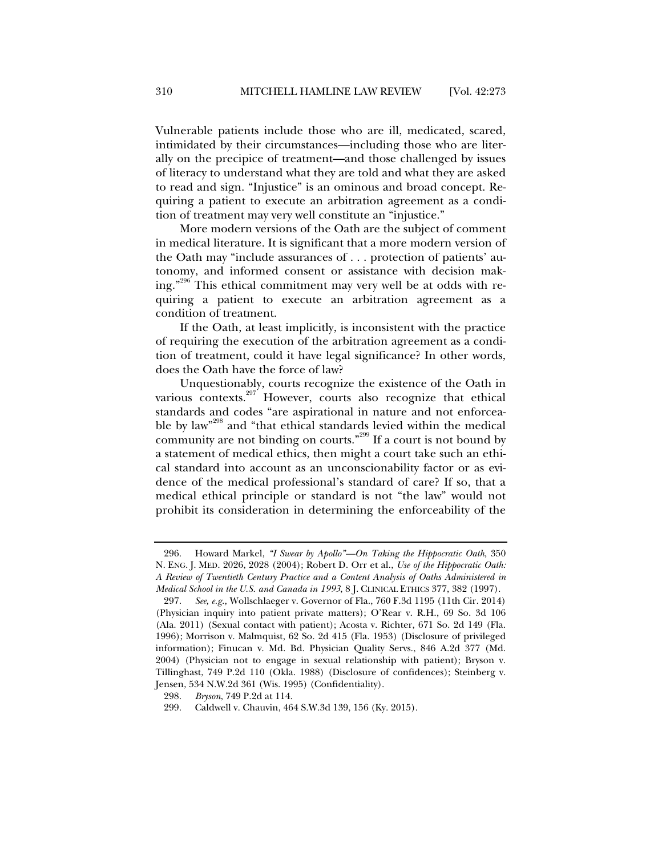Vulnerable patients include those who are ill, medicated, scared, intimidated by their circumstances—including those who are literally on the precipice of treatment—and those challenged by issues of literacy to understand what they are told and what they are asked to read and sign. "Injustice" is an ominous and broad concept. Requiring a patient to execute an arbitration agreement as a condition of treatment may very well constitute an "injustice."

More modern versions of the Oath are the subject of comment in medical literature. It is significant that a more modern version of the Oath may "include assurances of . . . protection of patients' autonomy, and informed consent or assistance with decision making."296 This ethical commitment may very well be at odds with requiring a patient to execute an arbitration agreement as a condition of treatment.

If the Oath, at least implicitly, is inconsistent with the practice of requiring the execution of the arbitration agreement as a condition of treatment, could it have legal significance? In other words, does the Oath have the force of law?

Unquestionably, courts recognize the existence of the Oath in various contexts.<sup>297</sup> However, courts also recognize that ethical standards and codes "are aspirational in nature and not enforceable by law"<sup>298</sup> and "that ethical standards levied within the medical community are not binding on courts."299 If a court is not bound by a statement of medical ethics, then might a court take such an ethical standard into account as an unconscionability factor or as evidence of the medical professional's standard of care? If so, that a medical ethical principle or standard is not "the law" would not prohibit its consideration in determining the enforceability of the

 <sup>296.</sup> Howard Markel, *"I Swear by Apollo"—On Taking the Hippocratic Oath*, 350 N. ENG. J. MED. 2026, 2028 (2004); Robert D. Orr et al., *Use of the Hippocratic Oath: A Review of Twentieth Century Practice and a Content Analysis of Oaths Administered in Medical School in the U.S. and Canada in 1993*, 8 J. CLINICAL ETHICS 377, 382 (1997).

 <sup>297.</sup> *See, e.g.,* Wollschlaeger v. Governor of Fla., 760 F.3d 1195 (11th Cir. 2014) (Physician inquiry into patient private matters); O'Rear v. R.H., 69 So. 3d 106 (Ala. 2011) (Sexual contact with patient); Acosta v. Richter, 671 So. 2d 149 (Fla. 1996); Morrison v. Malmquist, 62 So. 2d 415 (Fla. 1953) (Disclosure of privileged information); Finucan v. Md. Bd. Physician Quality Servs., 846 A.2d 377 (Md. 2004) (Physician not to engage in sexual relationship with patient); Bryson v. Tillinghast, 749 P.2d 110 (Okla. 1988) (Disclosure of confidences); Steinberg v. Jensen, 534 N.W.2d 361 (Wis. 1995) (Confidentiality).

 <sup>298.</sup> *Bryson*, 749 P.2d at 114.

 <sup>299.</sup> Caldwell v. Chauvin, 464 S.W.3d 139, 156 (Ky. 2015).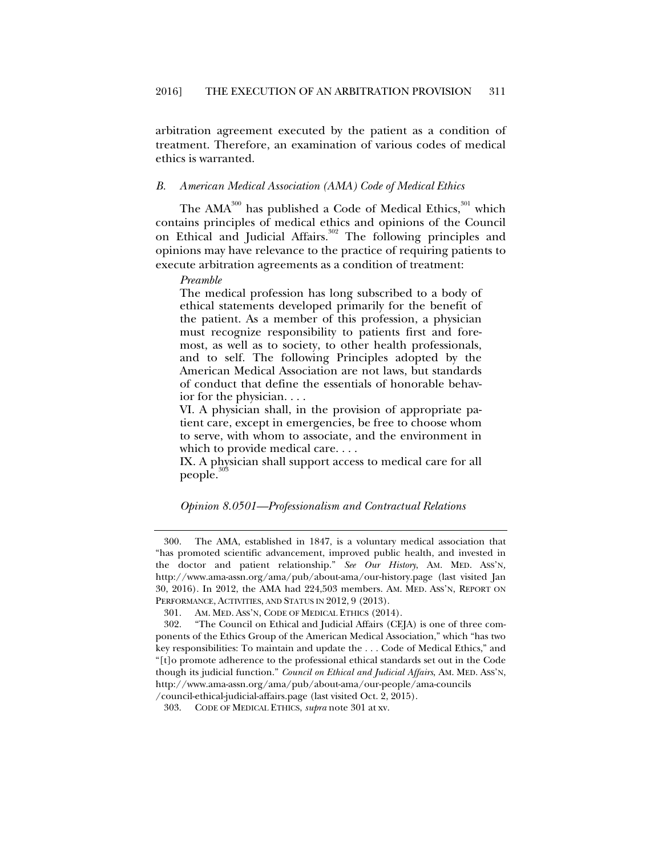arbitration agreement executed by the patient as a condition of treatment. Therefore, an examination of various codes of medical ethics is warranted.

# *B. American Medical Association (AMA) Code of Medical Ethics*

The  $AMA<sup>300</sup>$  has published a Code of Medical Ethics, $301$  which contains principles of medical ethics and opinions of the Council on Ethical and Judicial Affairs.<sup>302</sup> The following principles and opinions may have relevance to the practice of requiring patients to execute arbitration agreements as a condition of treatment:

*Preamble* 

The medical profession has long subscribed to a body of ethical statements developed primarily for the benefit of the patient. As a member of this profession, a physician must recognize responsibility to patients first and foremost, as well as to society, to other health professionals, and to self. The following Principles adopted by the American Medical Association are not laws, but standards of conduct that define the essentials of honorable behavior for the physician. . . .

VI. A physician shall, in the provision of appropriate patient care, except in emergencies, be free to choose whom to serve, with whom to associate, and the environment in which to provide medical care. . . .

IX. A physician shall support access to medical care for all people.<sup>30</sup>

## *Opinion 8.0501—Professionalism and Contractual Relations*

 <sup>300.</sup> The AMA, established in 1847, is a voluntary medical association that "has promoted scientific advancement, improved public health, and invested in the doctor and patient relationship." *See Our History*, AM. MED. ASS'N*,* http://www.ama-assn.org/ama/pub/about-ama/our-history.page (last visited Jan 30, 2016). In 2012, the AMA had 224,503 members. AM. MED. ASS'N, REPORT ON PERFORMANCE, ACTIVITIES, AND STATUS IN 2012, 9 (2013).

 <sup>301.</sup> AM. MED. ASS'N, CODE OF MEDICAL ETHICS (2014).

 <sup>302. &</sup>quot;The Council on Ethical and Judicial Affairs (CEJA) is one of three components of the Ethics Group of the American Medical Association," which "has two key responsibilities: To maintain and update the . . . Code of Medical Ethics," and "[t]o promote adherence to the professional ethical standards set out in the Code though its judicial function." *Council on Ethical and Judicial Affairs*, AM. MED. ASS'N, http://www.ama-assn.org/ama/pub/about-ama/our-people/ama-councils /council-ethical-judicial-affairs.page (last visited Oct. 2, 2015).

 <sup>303.</sup> CODE OF MEDICAL ETHICS, *supra* note 301 at xv.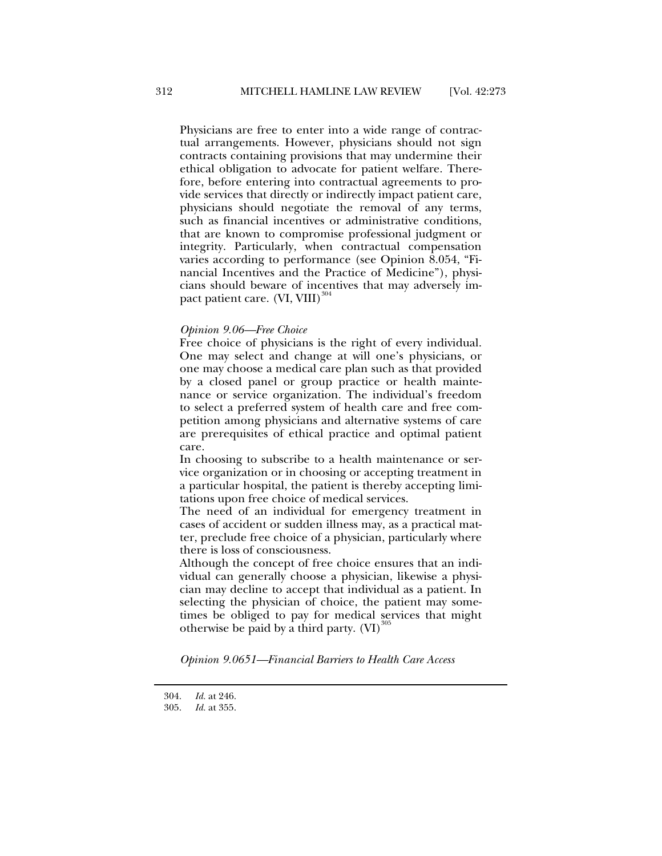Physicians are free to enter into a wide range of contractual arrangements. However, physicians should not sign contracts containing provisions that may undermine their ethical obligation to advocate for patient welfare. Therefore, before entering into contractual agreements to provide services that directly or indirectly impact patient care, physicians should negotiate the removal of any terms, such as financial incentives or administrative conditions, that are known to compromise professional judgment or integrity. Particularly, when contractual compensation varies according to performance (see Opinion 8.054, "Financial Incentives and the Practice of Medicine"), physicians should beware of incentives that may adversely impact patient care.  $(VI, VIII)$ <sup>30</sup>

# *Opinion 9.06—Free Choice*

Free choice of physicians is the right of every individual. One may select and change at will one's physicians, or one may choose a medical care plan such as that provided by a closed panel or group practice or health maintenance or service organization. The individual's freedom to select a preferred system of health care and free competition among physicians and alternative systems of care are prerequisites of ethical practice and optimal patient care.

In choosing to subscribe to a health maintenance or service organization or in choosing or accepting treatment in a particular hospital, the patient is thereby accepting limitations upon free choice of medical services.

The need of an individual for emergency treatment in cases of accident or sudden illness may, as a practical matter, preclude free choice of a physician, particularly where there is loss of consciousness.

Although the concept of free choice ensures that an individual can generally choose a physician, likewise a physician may decline to accept that individual as a patient. In selecting the physician of choice, the patient may sometimes be obliged to pay for medical services that might otherwise be paid by a third party.  $\text{(VI)}^{\text{305}}$ 

*Opinion 9.0651—Financial Barriers to Health Care Access* 

 <sup>304.</sup> *Id.* at 246.

 <sup>305.</sup> *Id.* at 355.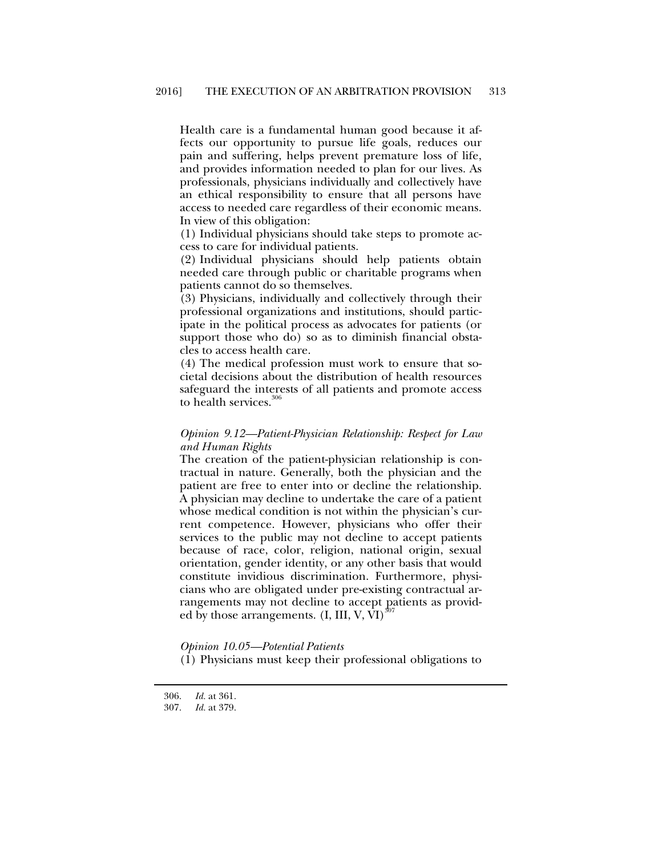Health care is a fundamental human good because it affects our opportunity to pursue life goals, reduces our pain and suffering, helps prevent premature loss of life, and provides information needed to plan for our lives. As professionals, physicians individually and collectively have an ethical responsibility to ensure that all persons have access to needed care regardless of their economic means. In view of this obligation:

(1) Individual physicians should take steps to promote access to care for individual patients.

(2) Individual physicians should help patients obtain needed care through public or charitable programs when patients cannot do so themselves.

(3) Physicians, individually and collectively through their professional organizations and institutions, should participate in the political process as advocates for patients (or support those who do) so as to diminish financial obstacles to access health care.

(4) The medical profession must work to ensure that societal decisions about the distribution of health resources safeguard the interests of all patients and promote access to health services.<sup>306</sup>

# *Opinion 9.12—Patient-Physician Relationship: Respect for Law and Human Rights*

The creation of the patient-physician relationship is contractual in nature. Generally, both the physician and the patient are free to enter into or decline the relationship. A physician may decline to undertake the care of a patient whose medical condition is not within the physician's current competence. However, physicians who offer their services to the public may not decline to accept patients because of race, color, religion, national origin, sexual orientation, gender identity, or any other basis that would constitute invidious discrimination. Furthermore, physicians who are obligated under pre-existing contractual arrangements may not decline to accept patients as provided by those arrangements.  $(I, III, V, VI)^T$ 

#### *Opinion 10.05—Potential Patients*

(1) Physicians must keep their professional obligations to

 <sup>306.</sup> *Id.* at 361.

 <sup>307.</sup> *Id.* at 379.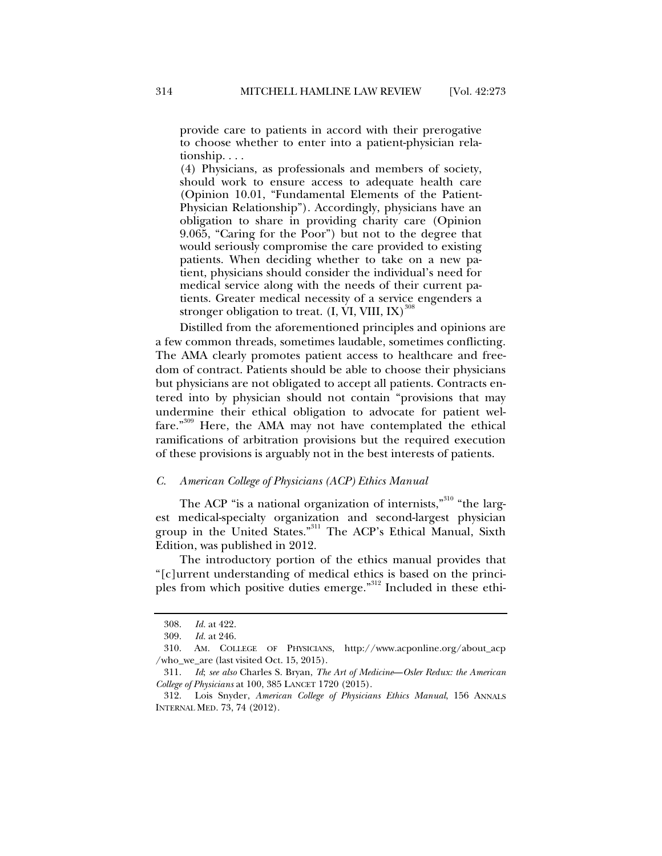provide care to patients in accord with their prerogative to choose whether to enter into a patient-physician relationship. . . .

(4) Physicians, as professionals and members of society, should work to ensure access to adequate health care (Opinion 10.01, "Fundamental Elements of the Patient-Physician Relationship"). Accordingly, physicians have an obligation to share in providing charity care (Opinion 9.065, "Caring for the Poor") but not to the degree that would seriously compromise the care provided to existing patients. When deciding whether to take on a new patient, physicians should consider the individual's need for medical service along with the needs of their current patients. Greater medical necessity of a service engenders a stronger obligation to treat.  $(I, VI, VIII, IX)^3$ 

Distilled from the aforementioned principles and opinions are a few common threads, sometimes laudable, sometimes conflicting. The AMA clearly promotes patient access to healthcare and freedom of contract. Patients should be able to choose their physicians but physicians are not obligated to accept all patients. Contracts entered into by physician should not contain "provisions that may undermine their ethical obligation to advocate for patient welfare."<sup>309</sup> Here, the AMA may not have contemplated the ethical ramifications of arbitration provisions but the required execution of these provisions is arguably not in the best interests of patients.

## *C. American College of Physicians (ACP) Ethics Manual*

The ACP "is a national organization of internists,"310 "the largest medical-specialty organization and second-largest physician group in the United States."<sup>311</sup> The ACP's Ethical Manual, Sixth Edition, was published in 2012.

The introductory portion of the ethics manual provides that "[c]urrent understanding of medical ethics is based on the principles from which positive duties emerge."312 Included in these ethi-

 <sup>308.</sup> *Id.* at 422.

 <sup>309.</sup> *Id.* at 246.

 <sup>310.</sup> AM. COLLEGE OF PHYSICIANS, http://www.acponline.org/about\_acp /who\_we\_are (last visited Oct. 15, 2015).

 <sup>311.</sup> *Id*; *see also* Charles S. Bryan, *The Art of Medicine*—*Osler Redux: the American College of Physicians* at 100, 385 LANCET 1720 (2015).

 <sup>312.</sup> Lois Snyder, *American College of Physicians Ethics Manual*, 156 ANNALS INTERNAL MED. 73, 74 (2012).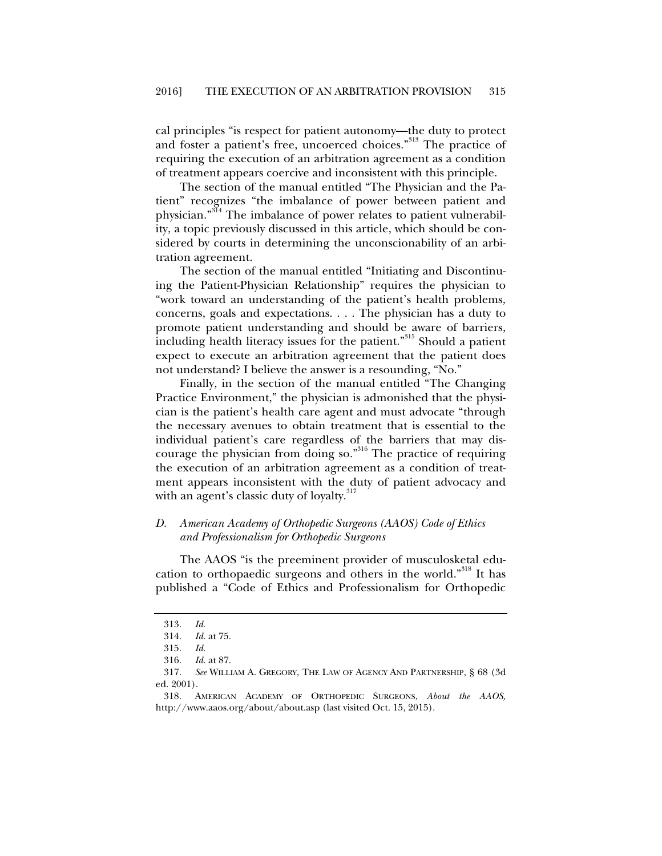cal principles "is respect for patient autonomy—the duty to protect and foster a patient's free, uncoerced choices."313 The practice of requiring the execution of an arbitration agreement as a condition of treatment appears coercive and inconsistent with this principle.

The section of the manual entitled "The Physician and the Patient" recognizes "the imbalance of power between patient and physician."<sup>314</sup> The imbalance of power relates to patient vulnerability, a topic previously discussed in this article, which should be considered by courts in determining the unconscionability of an arbitration agreement.

The section of the manual entitled "Initiating and Discontinuing the Patient-Physician Relationship" requires the physician to "work toward an understanding of the patient's health problems, concerns, goals and expectations. . . . The physician has a duty to promote patient understanding and should be aware of barriers, including health literacy issues for the patient."315 Should a patient expect to execute an arbitration agreement that the patient does not understand? I believe the answer is a resounding, "No."

Finally, in the section of the manual entitled "The Changing Practice Environment," the physician is admonished that the physician is the patient's health care agent and must advocate "through the necessary avenues to obtain treatment that is essential to the individual patient's care regardless of the barriers that may discourage the physician from doing so."316 The practice of requiring the execution of an arbitration agreement as a condition of treatment appears inconsistent with the duty of patient advocacy and with an agent's classic duty of loyalty.<sup>317</sup>

# *D. American Academy of Orthopedic Surgeons (AAOS) Code of Ethics and Professionalism for Orthopedic Surgeons*

The AAOS "is the preeminent provider of musculosketal education to orthopaedic surgeons and others in the world."318 It has published a "Code of Ethics and Professionalism for Orthopedic

 <sup>313.</sup> *Id*.

 <sup>314.</sup> *Id.* at 75.

 <sup>315.</sup> *Id.*

 <sup>316.</sup> *Id.* at 87.

 <sup>317.</sup> *See* WILLIAM A. GREGORY, THE LAW OF AGENCY AND PARTNERSHIP, § 68 (3d ed. 2001).

 <sup>318.</sup> AMERICAN ACADEMY OF ORTHOPEDIC SURGEONS, *About the AAOS,* http://www.aaos.org/about/about.asp (last visited Oct. 15, 2015).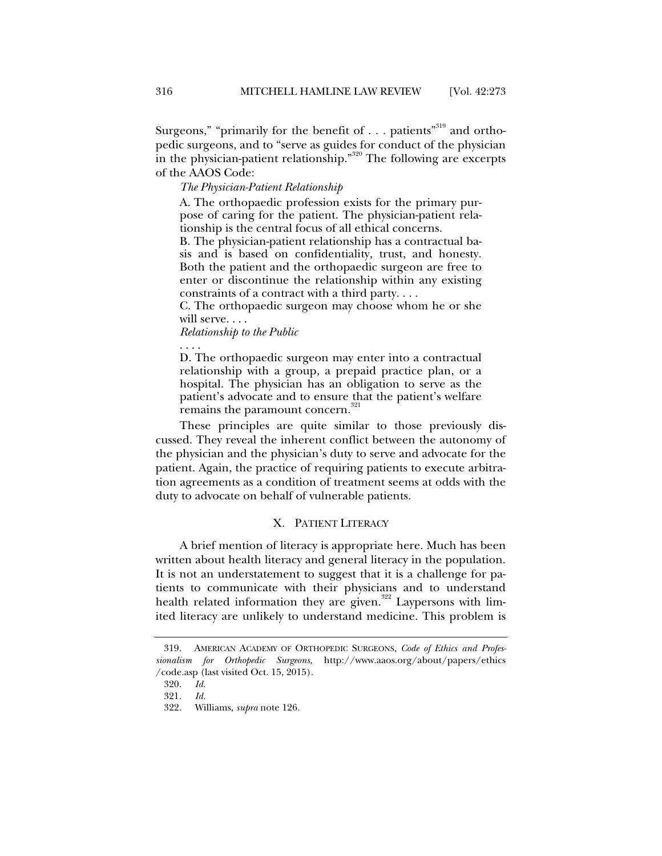Surgeons," "primarily for the benefit of . . . patients"<sup>319</sup> and orthopedic surgeons, and to "serve as guides for conduct of the physician in the physician-patient relationship."320 The following are excerpts of the AAOS Code:

*The Physician-Patient Relationship*

A. The orthopaedic profession exists for the primary purpose of caring for the patient. The physician-patient relationship is the central focus of all ethical concerns.

B. The physician-patient relationship has a contractual basis and is based on confidentiality, trust, and honesty. Both the patient and the orthopaedic surgeon are free to enter or discontinue the relationship within any existing constraints of a contract with a third party. . . .

C. The orthopaedic surgeon may choose whom he or she will serve. . . .

*Relationship to the Public* 

. . . .

D. The orthopaedic surgeon may enter into a contractual relationship with a group, a prepaid practice plan, or a hospital. The physician has an obligation to serve as the patient's advocate and to ensure that the patient's welfare remains the paramount concern.<sup>321</sup>

These principles are quite similar to those previously discussed. They reveal the inherent conflict between the autonomy of the physician and the physician's duty to serve and advocate for the patient. Again, the practice of requiring patients to execute arbitration agreements as a condition of treatment seems at odds with the duty to advocate on behalf of vulnerable patients.

# X. PATIENT LITERACY

A brief mention of literacy is appropriate here. Much has been written about health literacy and general literacy in the population. It is not an understatement to suggest that it is a challenge for patients to communicate with their physicians and to understand health related information they are given.<sup>322</sup> Laypersons with limited literacy are unlikely to understand medicine. This problem is

 <sup>319.</sup> AMERICAN ACADEMY OF ORTHOPEDIC SURGEONS, *Code of Ethics and Professionalism for Orthopedic Surgeons,* http://www.aaos.org/about/papers/ethics /code.asp (last visited Oct. 15, 2015).

 <sup>320.</sup> *Id.* 

 <sup>321.</sup> *Id.*

 <sup>322.</sup> Williams, *supra* note 126*.*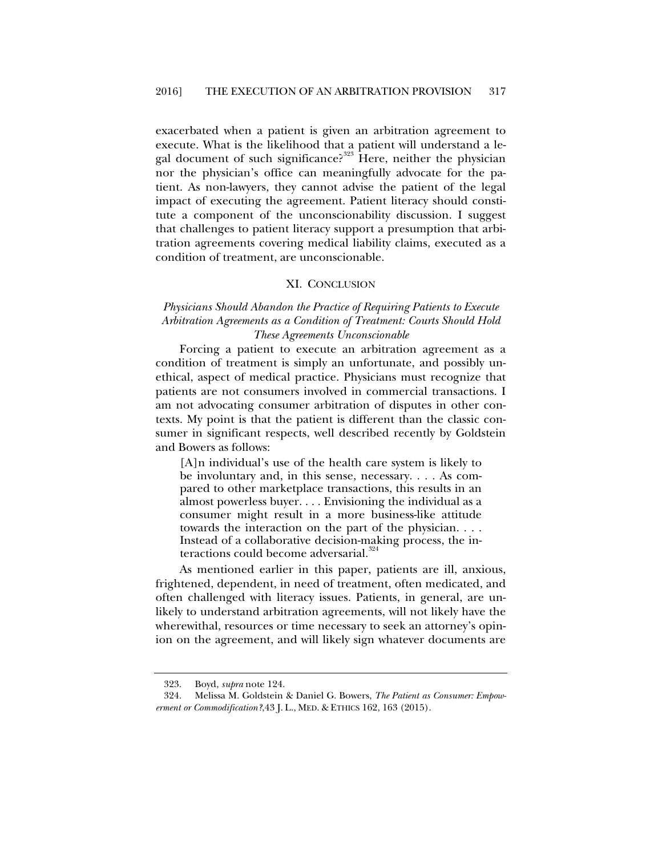exacerbated when a patient is given an arbitration agreement to execute. What is the likelihood that a patient will understand a legal document of such significance?<sup>323</sup> Here, neither the physician nor the physician's office can meaningfully advocate for the patient. As non-lawyers, they cannot advise the patient of the legal impact of executing the agreement. Patient literacy should constitute a component of the unconscionability discussion. I suggest that challenges to patient literacy support a presumption that arbitration agreements covering medical liability claims, executed as a condition of treatment, are unconscionable.

# XI. CONCLUSION

# *Physicians Should Abandon the Practice of Requiring Patients to Execute Arbitration Agreements as a Condition of Treatment: Courts Should Hold These Agreements Unconscionable*

Forcing a patient to execute an arbitration agreement as a condition of treatment is simply an unfortunate, and possibly unethical, aspect of medical practice. Physicians must recognize that patients are not consumers involved in commercial transactions. I am not advocating consumer arbitration of disputes in other contexts. My point is that the patient is different than the classic consumer in significant respects, well described recently by Goldstein and Bowers as follows:

[A]n individual's use of the health care system is likely to be involuntary and, in this sense, necessary. . . . As compared to other marketplace transactions, this results in an almost powerless buyer. . . . Envisioning the individual as a consumer might result in a more business-like attitude towards the interaction on the part of the physician. . . . Instead of a collaborative decision-making process, the interactions could become adversarial.<sup>324</sup>

As mentioned earlier in this paper, patients are ill, anxious, frightened, dependent, in need of treatment, often medicated, and often challenged with literacy issues. Patients, in general, are unlikely to understand arbitration agreements, will not likely have the wherewithal, resources or time necessary to seek an attorney's opinion on the agreement, and will likely sign whatever documents are

 <sup>323.</sup> Boyd, *supra* note 124.

 <sup>324.</sup> Melissa M. Goldstein & Daniel G. Bowers, *The Patient as Consumer: Empowerment or Commodification?*,43 J. L., MED. & ETHICS 162, 163 (2015).